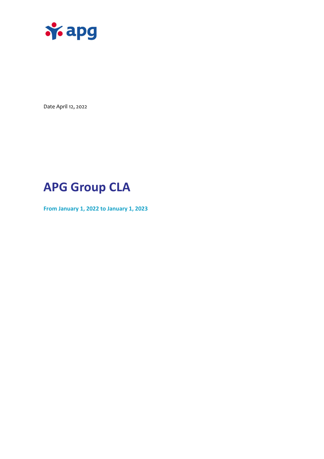

Date April 12, 2022

# **APG Group CLA**

**From January 1, 2022 to January 1, 2023**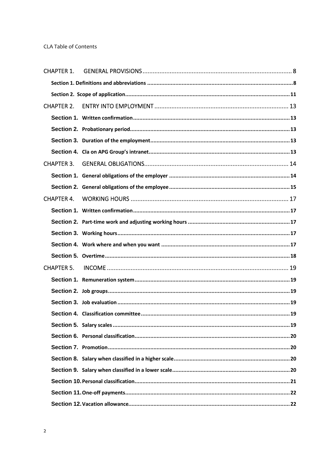# CLA Table of Contents

| <b>CHAPTER 1.</b> |  |
|-------------------|--|
|                   |  |
|                   |  |
| <b>CHAPTER 2.</b> |  |
|                   |  |
|                   |  |
|                   |  |
|                   |  |
| <b>CHAPTER 3.</b> |  |
|                   |  |
|                   |  |
|                   |  |
|                   |  |
|                   |  |
|                   |  |
|                   |  |
|                   |  |
| <b>CHAPTER 5.</b> |  |
|                   |  |
|                   |  |
|                   |  |
|                   |  |
|                   |  |
|                   |  |
|                   |  |
|                   |  |
|                   |  |
|                   |  |
|                   |  |
|                   |  |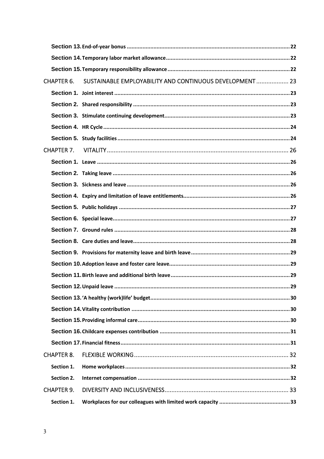| <b>CHAPTER 6.</b> | SUSTAINABLE EMPLOYABILITY AND CONTINUOUS DEVELOPMENT 23 |      |
|-------------------|---------------------------------------------------------|------|
|                   |                                                         |      |
|                   |                                                         |      |
|                   |                                                         |      |
|                   |                                                         |      |
|                   |                                                         |      |
|                   |                                                         |      |
|                   |                                                         |      |
|                   |                                                         |      |
|                   |                                                         |      |
|                   |                                                         |      |
|                   |                                                         |      |
|                   |                                                         |      |
|                   |                                                         |      |
|                   |                                                         |      |
|                   |                                                         |      |
|                   |                                                         |      |
|                   |                                                         |      |
|                   |                                                         | . 29 |
|                   |                                                         |      |
|                   |                                                         |      |
|                   |                                                         |      |
|                   |                                                         |      |
|                   |                                                         |      |
| <b>CHAPTER 8.</b> |                                                         |      |
| Section 1.        |                                                         |      |
| Section 2.        |                                                         |      |
| <b>CHAPTER 9.</b> |                                                         |      |
| Section 1.        |                                                         |      |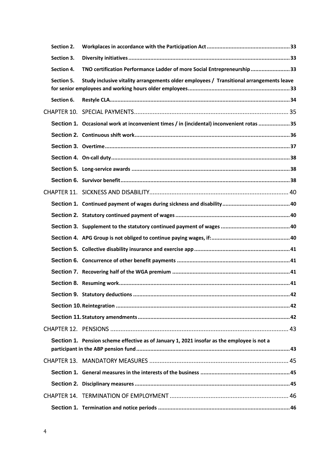| Section 2. |                                                                                            |  |
|------------|--------------------------------------------------------------------------------------------|--|
| Section 3. |                                                                                            |  |
| Section 4. | TNO certification Performance Ladder of more Social Entrepreneurship33                     |  |
| Section 5. | Study inclusive vitality arrangements older employees / Transitional arrangements leave    |  |
| Section 6. |                                                                                            |  |
|            |                                                                                            |  |
|            | Section 1. Occasional work at inconvenient times / in (incidental) inconvenient rotas  35  |  |
|            |                                                                                            |  |
|            |                                                                                            |  |
|            |                                                                                            |  |
|            |                                                                                            |  |
|            |                                                                                            |  |
|            |                                                                                            |  |
|            |                                                                                            |  |
|            |                                                                                            |  |
|            |                                                                                            |  |
|            |                                                                                            |  |
|            |                                                                                            |  |
|            |                                                                                            |  |
|            |                                                                                            |  |
|            |                                                                                            |  |
|            |                                                                                            |  |
|            |                                                                                            |  |
|            |                                                                                            |  |
|            |                                                                                            |  |
|            | Section 1. Pension scheme effective as of January 1, 2021 insofar as the employee is not a |  |
|            |                                                                                            |  |
|            |                                                                                            |  |
|            |                                                                                            |  |
|            |                                                                                            |  |
|            |                                                                                            |  |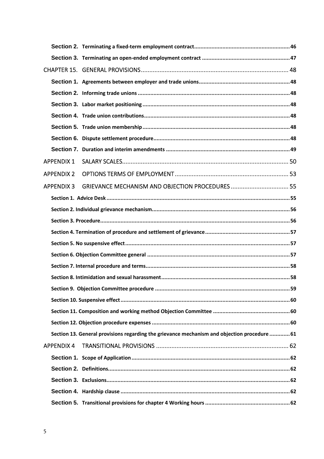| <b>APPENDIX 1</b> |                                                                                              |  |
|-------------------|----------------------------------------------------------------------------------------------|--|
| <b>APPENDIX 2</b> |                                                                                              |  |
| <b>APPENDIX 3</b> |                                                                                              |  |
|                   |                                                                                              |  |
|                   |                                                                                              |  |
|                   |                                                                                              |  |
|                   |                                                                                              |  |
|                   |                                                                                              |  |
|                   |                                                                                              |  |
|                   |                                                                                              |  |
|                   |                                                                                              |  |
|                   |                                                                                              |  |
|                   |                                                                                              |  |
|                   |                                                                                              |  |
|                   |                                                                                              |  |
|                   | Section 13. General provisions regarding the grievance mechanism and objection procedure  61 |  |
| <b>APPENDIX 4</b> |                                                                                              |  |
|                   |                                                                                              |  |
|                   |                                                                                              |  |
|                   |                                                                                              |  |
|                   |                                                                                              |  |
|                   |                                                                                              |  |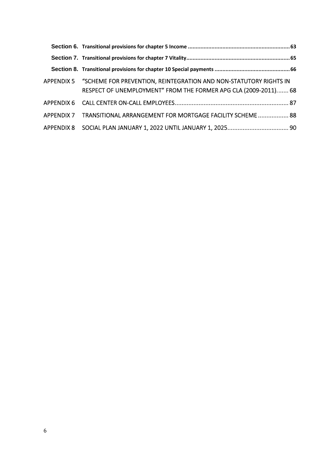| RESPECT OF UNEMPLOYMENT" FROM THE FORMER APG CLA (2009-2011) 68      |  |
|----------------------------------------------------------------------|--|
|                                                                      |  |
| APPENDIX 7 TRANSITIONAL ARRANGEMENT FOR MORTGAGE FACILITY SCHEME  88 |  |
|                                                                      |  |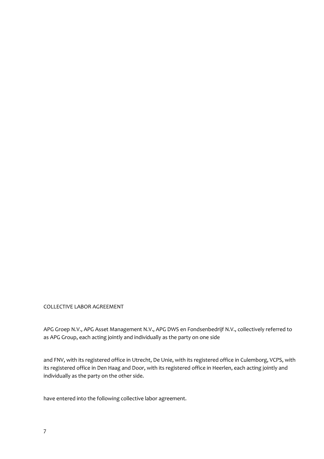# COLLECTIVE LABOR AGREEMENT

APG Groep N.V., APG Asset Management N.V., APG DWS en Fondsenbedrijf N.V., collectively referred to as APG Group, each acting jointly and individually as the party on one side

and FNV, with its registered office in Utrecht, De Unie, with its registered office in Culemborg, VCPS, with its registered office in Den Haag and Door, with its registered office in Heerlen, each acting jointly and individually as the party on the other side.

have entered into the following collective labor agreement.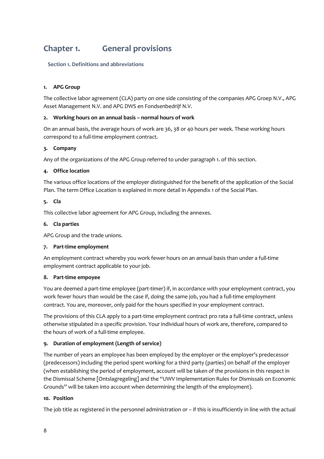# <span id="page-7-0"></span>**Chapter 1. General provisions**

<span id="page-7-1"></span>**Section 1. Definitions and abbreviations** 

# **1. APG Group**

The collective labor agreement (CLA) party on one side consisting of the companies APG Groep N.V., APG Asset Management N.V. and APG DWS en Fondsenbedrijf N.V.

# **2. Working hours on an annual basis – normal hours of work**

On an annual basis, the average hours of work are 36, 38 or 40 hours per week. These working hours correspond to a full-time employment contract.

# **3. Company**

Any of the organizations of the APG Group referred to under paragraph 1. of this section.

# **4. Office location**

The various office locations of the employer distinguished for the benefit of the application of the Social Plan. The term Office Location is explained in more detail in Appendix 1 of the Social Plan.

# **5. Cla**

This collective labor agreement for APG Group, including the annexes.

# **6. Cla parties**

APG Group and the trade unions.

# **7. Part-time employment**

An employment contract whereby you work fewer hours on an annual basis than under a full-time employment contract applicable to your job.

#### **8. Part-time empoyee**

You are deemed a part-time employee (part-timer) if, in accordance with your employment contract, you work fewer hours than would be the case if, doing the same job, you had a full-time employment contract. You are, moreover, only paid for the hours specified in your employment contract.

The provisions of this CLA apply to a part-time employment contract pro rata a full-time contract, unless otherwise stipulated in a specific provision. Your individual hours of work are, therefore, compared to the hours of work of a full-time employee.

# **9. Duration of employment (Length of service)**

The number of years an employee has been employed by the employer or the employer's predecessor (predecessors) including the period spent working for a third party (parties) on behalf of the employer (when establishing the period of employment, account will be taken of the provisions in this respect in the Dismissal Scheme [Ontslagregeling] and the "UWV Implementation Rules for Dismissals on Economic Grounds" will be taken into account when determining the length of the employment).

#### **10. Position**

The job title as registered in the personnel administration or – if this is insufficiently in line with the actual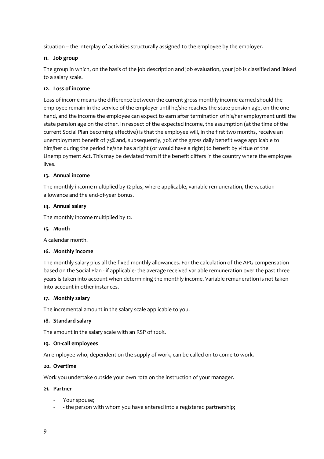situation – the interplay of activities structurally assigned to the employee by the employer.

#### **11. Job group**

The group in which, on the basis of the job description and job evaluation, your job is classified and linked to a salary scale.

#### **12. Loss of income**

Loss of income means the difference between the current gross monthly income earned should the employee remain in the service of the employer until he/she reaches the state pension age, on the one hand, and the income the employee can expect to earn after termination of his/her employment until the state pension age on the other. In respect of the expected income, the assumption (at the time of the current Social Plan becoming effective) is that the employee will, in the first two months, receive an unemployment benefit of 75% and, subsequently, 70% of the gross daily benefit wage applicable to him/her during the period he/she has a right (or would have a right) to benefit by virtue of the Unemployment Act. This may be deviated from if the benefit differs in the country where the employee lives.

# **13. Annual income**

The monthly income multiplied by 12 plus, where applicable, variable remuneration, the vacation allowance and the end-of-year bonus.

#### **14. Annual salary**

The monthly income multiplied by 12.

#### **15. Month**

A calendar month.

#### **16. Monthly income**

The monthly salary plus all the fixed monthly allowances. For the calculation of the APG compensation based on the Social Plan - if applicable- the average received variable remuneration over the past three years is taken into account when determining the monthly income. Variable remuneration is not taken into account in other instances.

#### **17. Monthly salary**

The incremental amount in the salary scale applicable to you.

#### **18. Standard salary**

The amount in the salary scale with an RSP of 100%.

#### **19. On-call employees**

An employee who, dependent on the supply of work, can be called on to come to work.

#### **20. Overtime**

Work you undertake outside your own rota on the instruction of your manager.

#### **21. Partner**

- Your spouse;
- the person with whom you have entered into a registered partnership;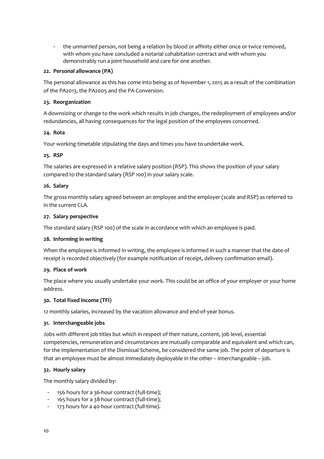- the unmarried person, not being a relation by blood or affinity either once or twice removed, with whom you have concluded a notarial cohabitation contract and with whom you demonstrably run a joint household and care for one another.

# **22. Personal allowance (PA)**

The personal allowance as this has come into being as of November 1, 2015 as a result of the combination of the PA2013, the PA2005 and the PA Conversion.

# **23. Reorganization**

A downsizing or change to the work which results in job changes, the redeployment of employees and/or redundancies, all having consequences for the legal position of the employees concerned.

# **24. Rota**

Your working timetable stipulating the days and times you have to undertake work.

#### **25. RSP**

The salaries are expressed in a relative salary position (RSP). This shows the position of your salary compared to the standard salary (RSP 100) in your salary scale.

# **26. Salary**

The gross monthly salary agreed between an employee and the employer (scale and RSP) as referred to in the current CLA.

#### **27. Salary perspective**

The standard salary (RSP 100) of the scale in accordance with which an employee is paid.

#### **28. Informing in writing**

When the employee is informed in writing, the employee is informed in such a manner that the date of receipt is recorded objectively (for example notification of receipt, delivery confirmation email).

#### **29. Place of work**

The place where you usually undertake your work. This could be an office of your employer or your home address.

# **30. Total fixed income (TFI)**

12 monthly salaries, increased by the vacation allowance and end-of-year bonus.

# **31. Interchangeable jobs**

Jobs with different job titles but which in respect of their nature, content, job level, essential competencies, remuneration and circumstances are mutually comparable and equivalent and which can, for the implementation of the Dismissal Scheme, be considered the same job. The point of departure is that an employee must be almost immediately deployable in the other – interchangeable – job.

#### **32. Hourly salary**

The monthly salary divided by:

- 156 hours for a 36-hour contract (full-time);
- 165 hours for a 38-hour contract (full-time);
- 173 hours for a 40-hour contract (full-time).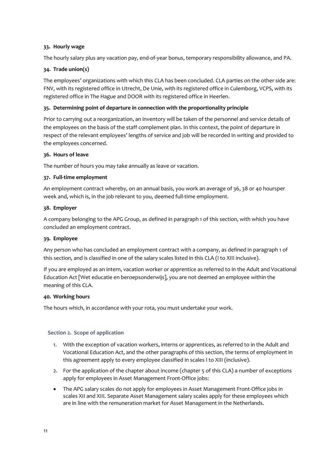# **33. Hourly wage**

The hourly salary plus any vacation pay, end-of-year bonus, temporary responsibility allowance, and PA.

# **34. Trade union(s)**

The employees' organizations with which this CLA has been concluded. CLA parties on the other side are: FNV, with its registered office in Utrecht, De Unie, with its registered office in Culemborg, VCPS, with its registered office in The Hague and DOOR with its registered office in Heerlen.

# **35. Determining point of departure in connection with the proportionality principle**

Prior to carrying out a reorganization, an inventory will be taken of the personnel and service details of the employees on the basis of the staff complement plan. In this context, the point of departure in respect of the relevant employees' lengths of service and job will be recorded in writing and provided to the employees concerned.

# **36. Hours of leave**

The number of hours you may take annually as leave or vacation.

# **37. Full-time employment**

An employment contract whereby, on an annual basis, you work an average of 36, 38 or 40 hoursper week and, which is, in the job relevant to you, deemed full-time employment.

# **38. Employer**

A company belonging to the APG Group, as defined in paragraph 1 of this section, with which you have concluded an employment contract.

#### **39. Employee**

Any person who has concluded an employment contract with a company, as defined in paragraph 1 of this section, and is classified in one of the salary scales listed in this CLA (I to XIII inclusive).

If you are employed as an intern, vacation worker or apprentice as referred to in the Adult and Vocational Education Act [Wet educatie en beroepsonderwijs], you are not deemed an employee within the meaning of this CLA.

#### **40. Working hours**

The hours which, in accordance with your rota, you must undertake your work.

#### <span id="page-10-0"></span>**Section 2. Scope of application**

- 1. With the exception of vacation workers, interns or apprentices, as referred to in the Adult and Vocational Education Act, and the other paragraphs of this section, the terms of employment in this agreement apply to every employee classified in scales I to XIII (inclusive).
- 2. For the application of the chapter about income (chapter 5 of this CLA) a number of exceptions apply for employees in Asset Management Front-Office jobs:
- The APG salary scales do not apply for employees in Asset Management Front-Office jobs in scales XII and XIII. Separate Asset Management salary scales apply for these employees which are in line with the remuneration market for Asset Management in the Netherlands.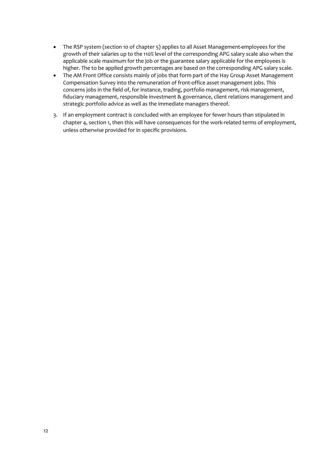- The RSP system (section 10 of chapter 5) applies to all Asset Management-employees for the growth of their salaries up to the 110% level of the corresponding APG salary scale also when the applicable scale maximum for the job or the guarantee salary applicable for the employees is higher. The to be applied growth percentages are based on the corresponding APG salary scale.
- The AM Front Office consists mainly of jobs that form part of the Hay Group Asset Management Compensation Survey into the remuneration of front-office asset management jobs. This concerns jobs in the field of, for instance, trading, portfolio management, risk management, fiduciary management, responsible investment & governance, client relations management and strategic portfolio advice as well as the immediate managers thereof.
- 3. If an employment contract is concluded with an employee for fewer hours than stipulated in chapter 4, section 1, then this will have consequences for the work-related terms of employment, unless otherwise provided for in specific provisions.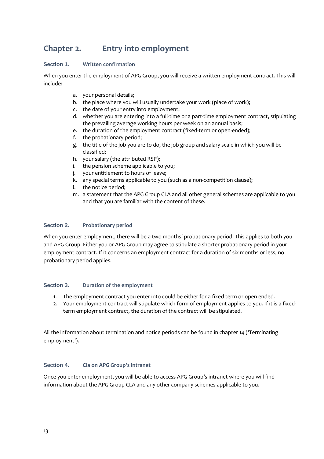# <span id="page-12-0"></span>**Chapter 2. Entry into employment**

# <span id="page-12-1"></span>**Section 1. Written confirmation**

When you enter the employment of APG Group, you will receive a written employment contract. This will include:

- a. your personal details;
- b. the place where you will usually undertake your work (place of work);
- c. the date of your entry into employment;
- d. whether you are entering into a full-time or a part-time employment contract, stipulating the prevailing average working hours per week on an annual basis;
- e. the duration of the employment contract (fixed-term or open-ended);
- f. the probationary period;
- g. the title of the job you are to do, the job group and salary scale in which you will be classified;
- h. your salary (the attributed RSP);
- i. the pension scheme applicable to you;
- j. your entitlement to hours of leave;
- k. any special terms applicable to you (such as a non-competition clause);
- l. the notice period;
- m. a statement that the APG Group CLA and all other general schemes are applicable to you and that you are familiar with the content of these.

#### <span id="page-12-2"></span>**Section 2. Probationary period**

When you enter employment, there will be a two months' probationary period. This applies to both you and APG Group. Either you or APG Group may agree to stipulate a shorter probationary period in your employment contract. If it concerns an employment contract for a duration of six months or less, no probationary period applies.

#### <span id="page-12-3"></span>**Section 3. Duration of the employment**

- 1. The employment contract you enter into could be either for a fixed term or open ended.
- 2. Your employment contract will stipulate which form of employment applies to you. If it is a fixedterm employment contract, the duration of the contract will be stipulated.

All the information about termination and notice periods can be found in chapter 14 ('Terminating employment').

#### <span id="page-12-4"></span>**Section 4. Cla on APG Group's intranet**

Once you enter employment, you will be able to access APG Group's intranet where you will find information about the APG Group CLA and any other company schemes applicable to you.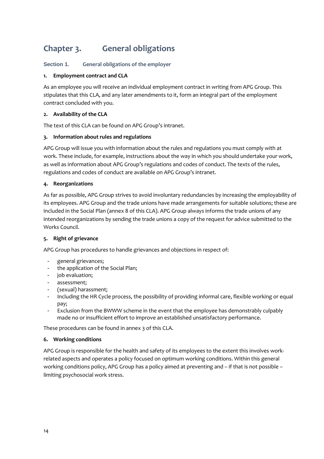# <span id="page-13-0"></span>**Chapter 3. General obligations**

# <span id="page-13-1"></span>**Section 1. General obligations of the employer**

# **1. Employment contract and CLA**

As an employee you will receive an individual employment contract in writing from APG Group. This stipulates that this CLA, and any later amendments to it, form an integral part of the employment contract concluded with you.

# **2. Availability of the CLA**

The text of this CLA can be found on APG Group's intranet.

# **3. Information about rules and regulations**

APG Group will issue you with information about the rules and regulations you must comply with at work. These include, for example, instructions about the way in which you should undertake your work, as well as information about APG Group's regulations and codes of conduct. The texts of the rules, regulations and codes of conduct are available on APG Group's intranet.

# **4. Reorganizations**

As far as possible, APG Group strives to avoid involuntary redundancies by increasing the employability of its employees. APG Group and the trade unions have made arrangements for suitable solutions; these are included in the Social Plan (annex 8 of this CLA). APG Group always informs the trade unions of any intended reorganizations by sending the trade unions a copy of the request for advice submitted to the Works Council.

# **5. Right of grievance**

APG Group has procedures to handle grievances and objections in respect of:

- general grievances;
- the application of the Social Plan;
- job evaluation;
- assessment;
- (sexual) harassment;
- Including the HR Cycle process, the possibility of providing informal care, flexible working or equal pay;
- Exclusion from the BWWW scheme in the event that the employee has demonstrably culpably made no or insufficient effort to improve an established unsatisfactory performance.

These procedures can be found in annex 3 of this CLA.

# **6. Working conditions**

APG Group is responsible for the health and safety of its employees to the extent this involves workrelated aspects and operates a policy focused on optimum working conditions. Within this general working conditions policy, APG Group has a policy aimed at preventing and – if that is not possible – limiting psychosocial work stress.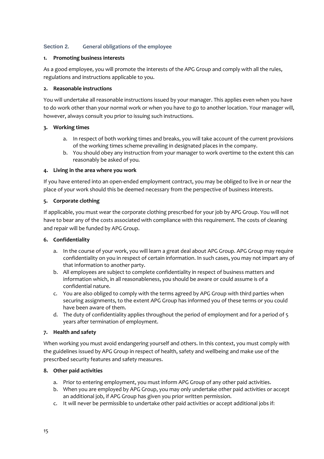# <span id="page-14-0"></span>**Section 2. General obligations of the employee**

#### **1. Promoting business interests**

As a good employee, you will promote the interests of the APG Group and comply with all the rules, regulations and instructions applicable to you.

#### **2. Reasonable instructions**

You will undertake all reasonable instructions issued by your manager. This applies even when you have to do work other than your normal work or when you have to go to another location. Your manager will, however, always consult you prior to issuing such instructions.

# **3. Working times**

- a. In respect of both working times and breaks, you will take account of the current provisions of the working times scheme prevailing in designated places in the company.
- b. You should obey any instruction from your manager to work overtime to the extent this can reasonably be asked of you.

# **4. Living in the area where you work**

If you have entered into an open-ended employment contract, you may be obliged to live in or near the place of your work should this be deemed necessary from the perspective of business interests.

# **5. Corporate clothing**

If applicable, you must wear the corporate clothing prescribed for your job by APG Group. You will not have to bear any of the costs associated with compliance with this requirement. The costs of cleaning and repair will be funded by APG Group.

# **6. Confidentiality**

- a. In the course of your work, you will learn a great deal about APG Group. APG Group may require confidentiality on you in respect of certain information. In such cases, you may not impart any of that information to another party.
- b. All employees are subject to complete confidentiality in respect of business matters and information which, in all reasonableness, you should be aware or could assume is of a confidential nature.
- c. You are also obliged to comply with the terms agreed by APG Group with third parties when securing assignments, to the extent APG Group has informed you of these terms or you could have been aware of them.
- d. The duty of confidentiality applies throughout the period of employment and for a period of 5 years after termination of employment.

# **7. Health and safety**

When working you must avoid endangering yourself and others. In this context, you must comply with the guidelines issued by APG Group in respect of health, safety and wellbeing and make use of the prescribed security features and safety measures.

#### **8. Other paid activities**

- a. Prior to entering employment, you must inform APG Group of any other paid activities.
- b. When you are employed by APG Group, you may only undertake other paid activities or accept an additional job, if APG Group has given you prior written permission.
- c. It will never be permissible to undertake other paid activities or accept additional jobs if: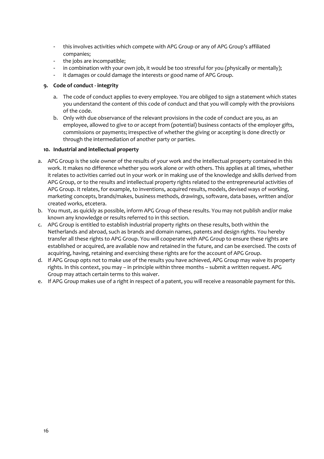- this involves activities which compete with APG Group or any of APG Group's affiliated companies;
- the jobs are incompatible;
- in combination with your own job, it would be too stressful for you (physically or mentally);
- it damages or could damage the interests or good name of APG Group.

#### **9. Code of conduct - integrity**

- a. The code of conduct applies to every employee. You are obliged to sign a statement which states you understand the content of this code of conduct and that you will comply with the provisions of the code.
- b. Only with due observance of the relevant provisions in the code of conduct are you, as an employee, allowed to give to or accept from (potential) business contacts of the employer gifts, commissions or payments; irrespective of whether the giving or accepting is done directly or through the intermediation of another party or parties.

#### **10. Industrial and intellectual property**

- a. APG Group is the sole owner of the results of your work and the intellectual property contained in this work. It makes no difference whether you work alone or with others. This applies at all times, whether it relates to activities carried out in your work or in making use of the knowledge and skills derived from APG Group, or to the results and intellectual property rights related to the entrepreneurial activities of APG Group. It relates, for example, to inventions, acquired results, models, devised ways of working, marketing concepts, brands/makes, business methods, drawings, software, data bases, written and/or created works, etcetera.
- b. You must, as quickly as possible, inform APG Group of these results. You may not publish and/or make known any knowledge or results referred to in this section.
- c. APG Group is entitled to establish industrial property rights on these results, both within the Netherlands and abroad, such as brands and domain names, patents and design rights. You hereby transfer all these rights to APG Group. You will cooperate with APG Group to ensure these rights are established or acquired, are available now and retained in the future, and can be exercised. The costs of acquiring, having, retaining and exercising these rights are for the account of APG Group.
- d. If APG Group opts not to make use of the results you have achieved, APG Group may waive its property rights. In this context, you may – in principle within three months – submit a written request. APG Group may attach certain terms to this waiver.
- e. If APG Group makes use of a right in respect of a patent, you will receive a reasonable payment for this.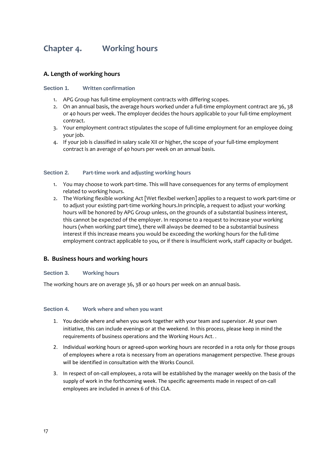# <span id="page-16-0"></span>**Chapter 4. Working hours**

# **A. Length of working hours**

#### <span id="page-16-1"></span>**Section 1. Written confirmation**

- 1. APG Group has full-time employment contracts with differing scopes.
- 2. On an annual basis, the average hours worked under a full-time employment contract are 36, 38 or 40 hours per week. The employer decides the hours applicable to your full-time employment contract.
- 3. Your employment contract stipulates the scope of full-time employment for an employee doing your job.
- 4. If your job is classified in salary scale XII or higher, the scope of your full-time employment contract is an average of 40 hours per week on an annual basis.

#### <span id="page-16-2"></span>**Section 2. Part-time work and adjusting working hours**

- 1. You may choose to work part-time. This will have consequences for any terms of employment related to working hours.
- 2. The Working flexible working Act [Wet flexibel werken] applies to a request to work part-time or to adjust your existing part-time working hours.In principle, a request to adjust your working hours will be honored by APG Group unless, on the grounds of a substantial business interest, this cannot be expected of the employer. In response to a request to increase your working hours (when working part time), there will always be deemed to be a substantial business interest if this increase means you would be exceeding the working hours for the full-time employment contract applicable to you, or if there is insufficient work, staff capacity or budget.

# **B. Business hours and working hours**

#### <span id="page-16-3"></span>**Section 3. Working hours**

The working hours are on average 36, 38 or 40 hours per week on an annual basis.

#### <span id="page-16-4"></span>**Section 4. Work where and when you want**

- 1. You decide where and when you work together with your team and supervisor. At your own initiative, this can include evenings or at the weekend. In this process, please keep in mind the requirements of business operations and the Working Hours Act. .
- 2. Individual working hours or agreed-upon working hours are recorded in a rota only for those groups of employees where a rota is necessary from an operations management perspective. These groups will be identified in consultation with the Works Council.
- 3. In respect of on-call employees, a rota will be established by the manager weekly on the basis of the supply of work in the forthcoming week. The specific agreements made in respect of on-call employees are included in annex 6 of this CLA.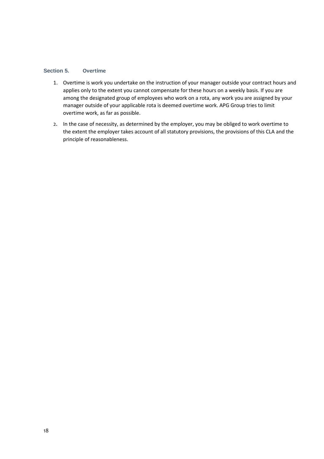# <span id="page-17-0"></span>**Section 5. Overtime**

- 1. Overtime is work you undertake on the instruction of your manager outside your contract hours and applies only to the extent you cannot compensate for these hours on a weekly basis. If you are among the designated group of employees who work on a rota, any work you are assigned by your manager outside of your applicable rota is deemed overtime work. APG Group tries to limit overtime work, as far as possible.
- 2. In the case of necessity, as determined by the employer, you may be obliged to work overtime to the extent the employer takes account of all statutory provisions, the provisions of this CLA and the principle of reasonableness.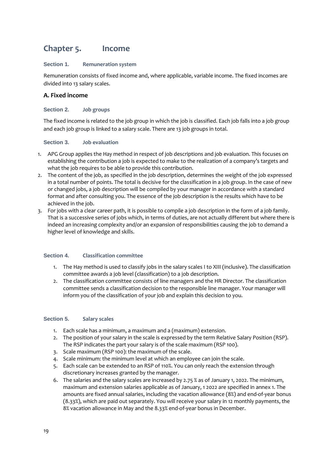# <span id="page-18-0"></span>**Chapter 5. Income**

# <span id="page-18-1"></span>**Section 1. Remuneration system**

Remuneration consists of fixed income and, where applicable, variable income. The fixed incomes are divided into 13 salary scales.

# **A. Fixed income**

# <span id="page-18-2"></span>**Section 2. Job groups**

The fixed income is related to the job group in which the job is classified. Each job falls into a job group and each job group is linked to a salary scale. There are 13 job groups in total.

# <span id="page-18-3"></span>**Section 3. Job evaluation**

- 1. APG Group applies the Hay method in respect of job descriptions and job evaluation. This focuses on establishing the contribution a job is expected to make to the realization of a company's targets and what the job requires to be able to provide this contribution.
- 2. The content of the job, as specified in the job description, determines the weight of the job expressed in a total number of points. The total is decisive for the classification in a job group. In the case of new or changed jobs, a job description will be compiled by your manager in accordance with a standard format and after consulting you. The essence of the job description is the results which have to be achieved in the job.
- 3. For jobs with a clear career path, it is possible to compile a job description in the form of a job family. That is a successive series of jobs which, in terms of duties, are not actually different but where there is indeed an increasing complexity and/or an expansion of responsibilities causing the job to demand a higher level of knowledge and skills.

# <span id="page-18-4"></span>**Section 4. Classification committee**

- 1. The Hay method is used to classify jobs in the salary scales I to XIII (inclusive). The classification committee awards a job level (classification) to a job description.
- 2. The classification committee consists of line managers and the HR Director. The classification committee sends a classification decision to the responsible line manager. Your manager will inform you of the classification of your job and explain this decision to you.

# <span id="page-18-5"></span>**Section 5. Salary scales**

- 1. Each scale has a minimum, a maximum and a (maximum) extension.
- 2. The position of your salary in the scale is expressed by the term Relative Salary Position (RSP). The RSP indicates the part your salary is of the scale maximum (RSP 100).
- 3. Scale maximum (RSP 100): the maximum of the scale.
- 4. Scale minimum: the minimum level at which an employee can join the scale.
- 5. Each scale can be extended to an RSP of 110%. You can only reach the extension through discretionary increases granted by the manager.
- 6. The salaries and the salary scales are increased by 2.75 % as of January 1, 2022. The minimum, maximum and extension salaries applicable as of January, 1 2022 are specified in annex 1. The amounts are fixed annual salaries, including the vacation allowance (8%) and end-of-year bonus (8.33%), which are paid out separately. You will receive your salary in 12 monthly payments, the 8% vacation allowance in May and the 8.33% end-of-year bonus in December.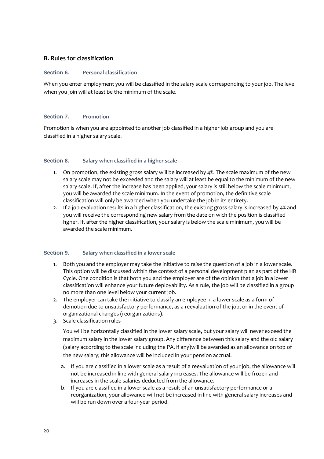# **B. Rules for classification**

# <span id="page-19-0"></span>**Section 6. Personal classification**

When you enter employment you will be classified in the salary scale corresponding to your job. The level when you join will at least be the minimum of the scale.

# <span id="page-19-1"></span>**Section 7. Promotion**

Promotion is when you are appointed to another job classified in a higher job group and you are classified in a higher salary scale.

# <span id="page-19-2"></span>**Section 8. Salary when classified in a higher scale**

- 1. On promotion, the existing gross salary will be increased by 4%. The scale maximum of the new salary scale may not be exceeded and the salary will at least be equal to the minimum of the new salary scale. If, after the increase has been applied, your salary is still below the scale minimum, you will be awarded the scale minimum. In the event of promotion, the definitive scale classification will only be awarded when you undertake the job in its entirety.
- 2. If a job evaluation results in a higher classification, the existing gross salary is increased by 4% and you will receive the corresponding new salary from the date on wich the position is classified hgher. If, after the higher classification, your salary is below the scale minimum, you will be awarded the scale minimum.

#### <span id="page-19-3"></span>**Section 9. Salary when classified in a lower scale**

- 1. Both you and the employer may take the initiative to raise the question of a job in a lower scale. This option will be discussed within the context of a personal development plan as part of the HR Cycle. One condition is that both you and the employer are of the opinion that a job in a lower classification will enhance your future deployability. As a rule, the job will be classified in a group no more than one level below your current job.
- 2. The employer can take the initiative to classify an employee in a lower scale as a form of demotion due to unsatisfactory performance, as a reevaluation of the job, or in the event of organizational changes (reorganizations).
- 3. Scale classification rules

You will be horizontally classified in the lower salary scale, but your salary will never exceed the maximum salary in the lower salary group. Any difference between this salary and the old salary (salary according to the scale including the PA, if any)will be awarded as an allowance on top of the new salary; this allowance will be included in your pension accrual.

- a. If you are classified in a lower scale as a result of a reevaluation of your job, the allowance will not be increased in line with general salary increases. The allowance will be frozen and increases in the scale salaries deducted from the allowance.
- b. If you are classified in a lower scale as a result of an unsatisfactory performance or a reorganization, your allowance will not be increased in line with general salary increases and will be run down over a four-year period.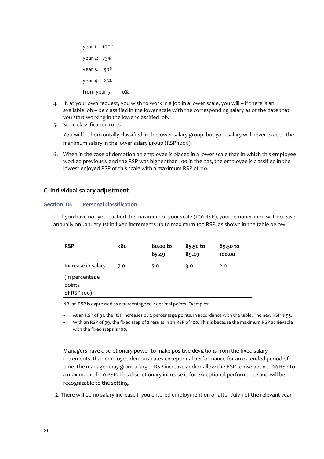year 1: 100% year 2: 75% year 3: 50% year 4: 25% from year 5: 0%.

- 4. If, at your own request, you wish to work in a job in a lower scale, you will if there is an available job – be classified in the lower scale with the corresponding salary as of the date that you start working in the lower-classified job.
- 5. Scale classification rules

You will be horizontally classified in the lower salary group, but your salary will never exceed the maximum salary in the lower salary group (RSP 100%).

6. When in the case of demotion an employee is placed in a lower scale than in which this employee worked previously and the RSP was higher than 100 in the pas, the employee is classified in the lowest enjoyed RSP of this scale with a maximum RSP of 110.

# **C. Individual salary adjustment**

# <span id="page-20-0"></span>**Section 10. Personal classification**

1. If you have not yet reached the maximum of your scale (100 RSP), your remuneration will increase annually on January 1st in fixed increments up to maximum 100 RSP, as shown in the table below:

| <b>RSP</b>                              | <80 | 80.00 to<br>85.49 | 85.50 to<br>89.49 | 89.50 to<br>100.00 |
|-----------------------------------------|-----|-------------------|-------------------|--------------------|
| Increase in salary                      | 7.0 | 5.0               | 3.0               | 2.0                |
| (in percentage<br>points<br>of RSP 100) |     |                   |                   |                    |

NB: an RSP is expressed as a percentage to 2 decimal points. Examples:

- At an RSP of 91, the RSP increases by 2 percentage points, in accordance with the table. The new RSP is 93.
- With an RSP of 99, the fixed step of 2 results in an RSP of 100. This is because the maximum RSP achievable with the fixed steps is 100.

Managers have discretionary power to make positive deviations from the fixed salary increments. If an employee demonstrates exceptional performance for an extended period of time, the manager may grant a larger RSP increase and/or allow the RSP to rise above 100 RSP to a maximum of 110 RSP. This discretionary increase is for exceptional performance and will be recognizable to the setting.

2. There will be no salary increase if you entered employment on or after July 1 of the relevant year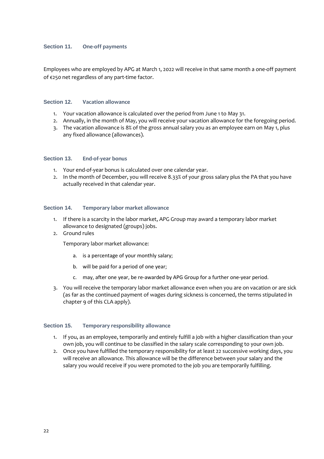#### <span id="page-21-0"></span>**Section 11. One-off payments**

Employees who are employed by APG at March 1, 2022 will receive in that same month a one-off payment of €250 net regardless of any part-time factor.

#### <span id="page-21-1"></span>**Section 12. Vacation allowance**

- 1. Your vacation allowance is calculated over the period from June 1 to May 31.
- 2. Annually, in the month of May, you will receive your vacation allowance for the foregoing period.
- 3. The vacation allowance is 8% of the gross annual salary you as an employee earn on May 1, plus any fixed allowance (allowances).

# <span id="page-21-2"></span>**Section 13. End-of-year bonus**

- 1. Your end-of-year bonus is calculated over one calendar year.
- 2. In the month of December, you will receive 8.33% of your gross salary plus the PA that you have actually received in that calendar year.

#### <span id="page-21-3"></span>**Section 14. Temporary labor market allowance**

- 1. If there is a scarcity in the labor market, APG Group may award a temporary labor market allowance to designated (groups) jobs.
- 2. Ground rules

Temporary labor market allowance:

- a. is a percentage of your monthly salary;
- b. will be paid for a period of one year;
- c. may, after one year, be re-awarded by APG Group for a further one-year period.
- 3. You will receive the temporary labor market allowance even when you are on vacation or are sick (as far as the continued payment of wages during sickness is concerned, the terms stipulated in chapter 9 of this CLA apply).

#### <span id="page-21-4"></span>**Section 15. Temporary responsibility allowance**

- 1. If you, as an employee, temporarily and entirely fulfill a job with a higher classification than your own job, you will continue to be classified in the salary scale corresponding to your own job.
- 2. Once you have fulfilled the temporary responsibility for at least 22 successive working days, you will receive an allowance. This allowance will be the difference between your salary and the salary you would receive if you were promoted to the job you are temporarily fulfilling.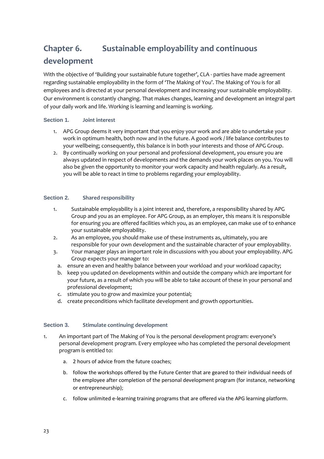# <span id="page-22-0"></span>**Chapter 6. Sustainable employability and continuous development**

With the objective of 'Building your sustainable future together', CLA - parties have made agreement regarding sustainable employability in the form of 'The Making of You'. The Making of You is for all employees and is directed at your personal development and increasing your sustainable employability. Our environment is constantly changing. That makes changes, learning and development an integral part of your daily work and life. Working is learning and learning is working.

# <span id="page-22-1"></span>**Section 1. Joint interest**

- 1. APG Group deems it very important that you enjoy your work and are able to undertake your work in optimum health, both now and in the future. A good work / life balance contributes to your wellbeing; consequently, this balance is in both your interests and those of APG Group.
- 2. By continually working on your personal and professional development, you ensure you are always updated in respect of developments and the demands your work places on you. You will also be given the opportunity to monitor your work capacity and health regularly. As a result, you will be able to react in time to problems regarding your employability.

# <span id="page-22-2"></span>**Section 2. Shared responsibility**

- 1. Sustainable employability is a joint interest and, therefore, a responsibility shared by APG Group and you as an employee. For APG Group, as an employer, this means it is responsible for ensuring you are offered facilities which you, as an employee, can make use of to enhance your sustainable employability.
- 2. As an employee, you should make use of these instruments as, ultimately, you are responsible for your own development and the sustainable character of your employability.
- 3. Your manager plays an important role in discussions with you about your employability. APG Group expects your manager to:
	- a. ensure an even and healthy balance between your workload and your workload capacity;
	- b. keep you updated on developments within and outside the company which are important for your future, as a result of which you will be able to take account of these in your personal and professional development;
	- c. stimulate you to grow and maximize your potential;
	- d. create preconditions which facilitate development and growth opportunities.

#### <span id="page-22-3"></span>**Section 3. Stimulate continuing development**

- 1. An important part of The Making of You is the personal development program: everyone's personal development program. Every employee who has completed the personal development program is entitled to:
	- a. 2 hours of advice from the future coaches;
	- b. follow the workshops offered by the Future Center that are geared to their individual needs of the employee after completion of the personal development program (for instance, networking or entrepreneurship);
	- c. follow unlimited e-learning training programs that are offered via the APG learning platform.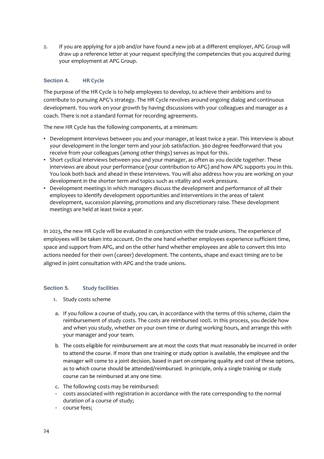2. If you are applying for a job and/or have found a new job at a different employer, APG Group will draw up a reference letter at your request specifying the competencies that you acquired during your employment at APG Group.

# <span id="page-23-0"></span>**Section 4. HR Cycle**

The purpose of the HR Cycle is to help employees to develop, to achieve their ambitions and to contribute to pursuing APG's strategy. The HR Cycle revolves around ongoing dialog and continuous development. You work on your growth by having discussions with your colleagues and manager as a coach. There is not a standard format for recording agreements.

The new HR Cycle has the following components, at a minimum:

- Development interviews between you and your manager, at least twice a year. This interview is about your development in the longer term and your job satisfaction. 360 degree feedforward that you receive from your colleagues (among other things) serves as input for this.
- Short cyclical interviews between you and your manager, as often as you decide together. These interviews are about your performance (your contribution to APG) and how APG supports you in this. You look both back and ahead in these interviews. You will also address how you are working on your development in the shorter term and topics such as vitality and work pressure.
- Development meetings in which managers discuss the development and performance of all their employees to identify development opportunities and interventions in the areas of talent development, succession planning, promotions and any discretionary raise. These development meetings are held at least twice a year.

In 2023, the new HR Cycle will be evaluated in conjunction with the trade unions. The experience of employees will be taken into account. On the one hand whether employees experience sufficient time, space and support from APG, and on the other hand whether employees are able to convert this into actions needed for their own (career) development. The contents, shape and exact timing are to be aligned in joint consultation with APG and the trade unions.

#### <span id="page-23-1"></span>**Section 5. Study facilities**

- 1. Study costs scheme
- a. If you follow a course of study, you can, in accordance with the terms of this scheme, claim the reimbursement of study costs. The costs are reimbursed 100%. In this process, you decide how and when you study, whether on your own time or during working hours, and arrange this with your manager and your team.
- b. The costs eligible for reimbursement are at most the costs that must reasonably be incurred in order to attend the course. If more than one training or study option is available, the employee and the manager will come to a joint decision, based in part on comparing quality and cost of these options, as to which course should be attended/reimbursed. In principle, only a single training or study course can be reimbursed at any one time.
- c. The following costs may be reimbursed:
- costs associated with registration in accordance with the rate corresponding to the normal duration of a course of study;
- course fees;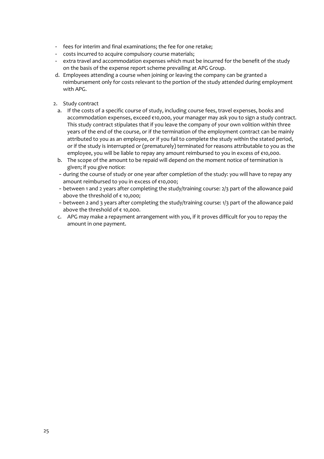- fees for interim and final examinations; the fee for one retake;
- costs incurred to acquire compulsory course materials;
- extra travel and accommodation expenses which must be incurred for the benefit of the study on the basis of the expense report scheme prevailing at APG Group.
- d. Employees attending a course when joining or leaving the company can be granted a reimbursement only for costs relevant to the portion of the study attended during employment with APG.
- 2. Study contract
	- a. If the costs of a specific course of study, including course fees, travel expenses, books and accommodation expenses, exceed €10,000, your manager may ask you to sign a study contract. This study contract stipulates that if you leave the company of your own volition within three years of the end of the course, or if the termination of the employment contract can be mainly attributed to you as an employee, or if you fail to complete the study within the stated period, or if the study is interrupted or (prematurely) terminated for reasons attributable to you as the employee, you will be liable to repay any amount reimbursed to you in excess of €10,000.
	- b. The scope of the amount to be repaid will depend on the moment notice of termination is given; if you give notice:
	- during the course of study or one year after completion of the study: you will have to repay any amount reimbursed to you in excess of €10,000;
	- between 1 and 2 years after completing the study/training course: 2/3 part of the allowance paid above the threshold of  $\epsilon$  10,000;
	- between 2 and 3 years after completing the study/training course: 1/3 part of the allowance paid above the threshold of € 10,000.
	- c. APG may make a repayment arrangement with you, if it proves difficult for you to repay the amount in one payment.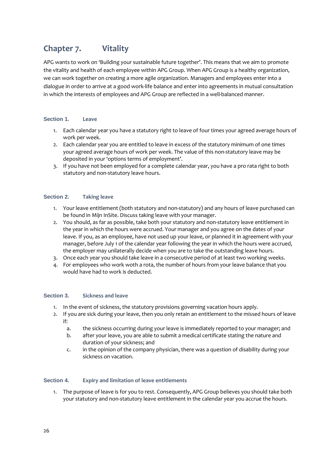# <span id="page-25-0"></span>**Chapter 7. Vitality**

APG wants to work on 'Building your sustainable future together'. This means that we aim to promote the vitality and health of each employee within APG Group. When APG Group is a healthy organization, we can work together on creating a more agile organization. Managers and employees enter into a dialogue in order to arrive at a good work-life balance and enter into agreements in mutual consultation in which the interests of employees and APG Group are reflected in a well-balanced manner.

# <span id="page-25-1"></span>**Section 1. Leave**

- 1. Each calendar year you have a statutory right to leave of four times your agreed average hours of work per week.
- 2. Each calendar year you are entitled to leave in excess of the statutory minimum of one times your agreed average hours of work per week. The value of this non-statutory leave may be deposited in your 'options terms of employment'.
- 3. If you have not been employed for a complete calendar year, you have a pro rata right to both statutory and non-statutory leave hours.

# <span id="page-25-2"></span>**Section 2. Taking leave**

- 1. Your leave entitlement (both statutory and non-statutory) and any hours of leave purchased can be found in Mijn InSite. Discuss taking leave with your manager.
- 2. You should, as far as possible, take both your statutory and non-statutory leave entitlement in the year in which the hours were accrued. Your manager and you agree on the dates of your leave. If you, as an employee, have not used up your leave, or planned it in agreement with your manager, before July 1 of the calendar year following the year in which the hours were accrued, the employer may unilaterally decide when you are to take the outstanding leave hours.
- 3. Once each year you should take leave in a consecutive period of at least two working weeks.
- 4. For employees who work woth a rota, the number of hours from your leave balance that you would have had to work is deducted.

# <span id="page-25-3"></span>**Section 3. Sickness and leave**

- 1. In the event of sickness, the statutory provisions governing vacation hours apply.
- 2. If you are sick during your leave, then you only retain an entitlement to the missed hours of leave if:
	- a. the sickness occurring during your leave is immediately reported to your manager; and
	- b. after your leave, you are able to submit a medical certificate stating the nature and duration of your sickness; and
	- c. in the opinion of the company physician, there was a question of disability during your sickness on vacation.

#### <span id="page-25-4"></span>**Section 4. Expiry and limitation of leave entitlements**

1. The purpose of leave is for you to rest. Consequently, APG Group believes you should take both your statutory and non-statutory leave entitlement in the calendar year you accrue the hours.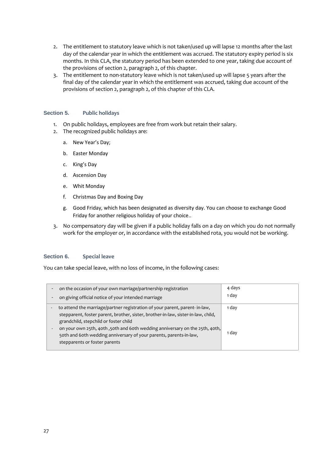- 2. The entitlement to statutory leave which is not taken/used up will lapse 12 months after the last day of the calendar year in which the entitlement was accrued. The statutory expiry period is six months. In this CLA, the statutory period has been extended to one year, taking due account of the provisions of section 2, paragraph 2, of this chapter.
- 3. The entitlement to non-statutory leave which is not taken/used up will lapse 5 years after the final day of the calendar year in which the entitlement was accrued, taking due account of the provisions of section 2, paragraph 2, of this chapter of this CLA.

#### <span id="page-26-0"></span>**Section 5. Public holidays**

- 1. On public holidays, employees are free from work but retain their salary.
- 2. The recognized public holidays are:
	- a. New Year's Day;
	- b. Easter Monday
	- c. King's Day
	- d. Ascension Day
	- e. Whit Monday
	- f. Christmas Day and Boxing Day
	- g. Good Friday, which has been designated as diversity day. You can choose to exchange Good Friday for another religious holiday of your choice..
- 3. No compensatory day will be given if a public holiday falls on a day on which you do not normally work for the employer or, in accordance with the established rota, you would not be working.

#### <span id="page-26-1"></span>**Section 6. Special leave**

You can take special leave, with no loss of income, in the following cases:

| on the occasion of your own marriage/partnership registration                                                                                                                                                                                                                                                                                                                                    | 4 days         |
|--------------------------------------------------------------------------------------------------------------------------------------------------------------------------------------------------------------------------------------------------------------------------------------------------------------------------------------------------------------------------------------------------|----------------|
| on giving official notice of your intended marriage                                                                                                                                                                                                                                                                                                                                              | 1 day          |
| to attend the marriage/partner registration of your parent, parent- in-law,<br>stepparent, foster parent, brother, sister, brother-in-law, sister-in-law, child,<br>grandchild, stepchild or foster child<br>on your own 25th, 40th, 50th and 60th wedding anniversary on the 25th, 40th,<br>50th and 60th wedding anniversary of your parents, parents-in-law,<br>stepparents or foster parents | 1 day<br>1 day |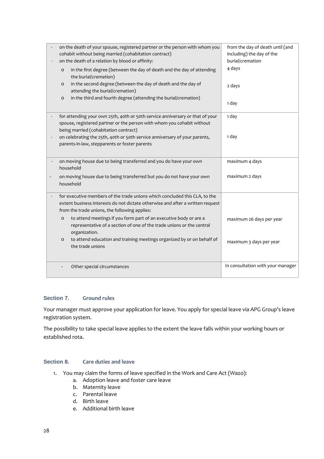| on the death of your spouse, registered partner or the person with whom you<br>cohabit without being married (cohabitation contract)<br>on the death of a relation by blood or affinity:                      | from the day of death until (and<br>including) the day of the<br>burial/cremation |
|---------------------------------------------------------------------------------------------------------------------------------------------------------------------------------------------------------------|-----------------------------------------------------------------------------------|
| in the first degree (between the day of death and the day of attending<br>$\circ$<br>the burial/cremation)                                                                                                    | 4 days                                                                            |
| in the second degree (between the day of death and the day of<br>$\circ$<br>attending the burial/cremation)<br>in the third and fourth degree (attending the burial/cremation)<br>$\circ$                     | 2 days                                                                            |
|                                                                                                                                                                                                               | 1 day                                                                             |
| for attending your own 25th, 40th or 50th service anniversary or that of your<br>spouse, registered partner or the person with whom you cohabit without<br>being married (cohabitation contract)              | 1 day                                                                             |
| on celebrating the 25th, 40th or 50th service anniversary of your parents,<br>parents-in-law, stepparents or foster parents                                                                                   | 1 day                                                                             |
| on moving house due to being transferred and you do have your own<br>household                                                                                                                                | maximum 4 days                                                                    |
| on moving house due to being transferred but you do not have your own<br>household                                                                                                                            | maximum 2 days                                                                    |
| for executive members of the trade unions which concluded this CLA, to the<br>extent business interests do not dictate otherwise and after a written request<br>from the trade unions, the following applies: |                                                                                   |
| to attend meetings if you form part of an executive body or are a<br>$\circ$<br>representative of a section of one of the trade unions or the central<br>organization.                                        | maximum 26 days per year                                                          |
| to attend education and training meetings organized by or on behalf of<br>$\circ$<br>the trade unions                                                                                                         | maximum 3 days per year                                                           |
| Other special circumstances                                                                                                                                                                                   | In consultation with your manager                                                 |

# <span id="page-27-0"></span>**Section 7. Ground rules**

Your manager must approve your application for leave. You apply for special leave via APG Group's leave registration system.

The possibility to take special leave applies to the extent the leave falls within your working hours or established rota.

# <span id="page-27-1"></span>**Section 8. Care duties and leave**

- 1. You may claim the forms of leave specified in the Work and Care Act (Wazo):
	- a. Adoption leave and foster care leave
	- b. Maternity leave
	- c. Parental leave
	- d. Birth leave
	- e. Additional birth leave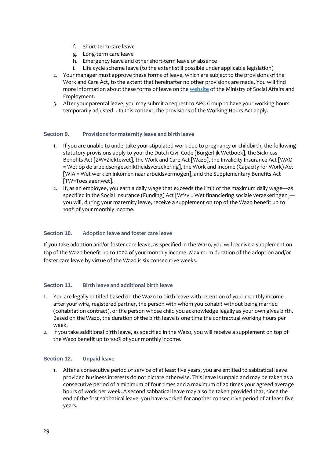- f. Short-term care leave
- g. Long-term care leave
- h. Emergency leave and other short-term leave of absence
- i. Life cycle scheme leave (to the extent still possible under applicable legislation)
- 2. Your manager must approve these forms of leave, which are subject to the provisions of the Work and Care Act, to the extent that hereinafter no other provisions are made. You will find more information about these forms of leave on th[e website](https://www.rijksoverheid.nl/onderwerpen/verlofregelingen) of the Ministry of Social Affairs and Employment.
- 3. After your parental leave, you may submit a request to APG Group to have your working hours temporarily adjusted. . In this context, the provisions of the Working Hours Act apply.

#### <span id="page-28-0"></span>**Section 9. Provisions for maternity leave and birth leave**

- 1. If you are unable to undertake your stipulated work due to pregnancy or childbirth, the following statutory provisions apply to you: the Dutch Civil Code [Burgerlijk Wetboek], the Sickness Benefits Act [ZW=Ziektewet], the Work and Care Act [Wazo], the Invalidity Insurance Act [WAO = Wet op de arbeidsongeschiktheidsverzekering], the Work and Income (Capacity for Work) Act [WIA = Wet werk en inkomen naar arbeidsvermogen], and the Supplementary Benefits Act [TW=Toeslagenwet].
- 2. If, as an employee, you earn a daily wage that exceeds the limit of the maximum daily wage—as specified in the Social Insurance (Funding) Act [Wfsv = Wet financiering sociale verzekeringen] you will, during your maternity leave, receive a supplement on top of the Wazo benefit up to 100% of your monthly income.

#### <span id="page-28-1"></span>**Section 10. Adoption leave and foster care leave**

If you take adoption and/or foster care leave, as specified in the Wazo, you will receive a supplement on top of the Wazo benefit up to 100% of your monthly income. Maximum duration of the adoption and/or foster care leave by virtue of the Wazo is six consecutive weeks.

#### <span id="page-28-2"></span>**Section 11. Birth leave and additional birth leave**

- 1. You are legally entitled based on the Wazo to birth leave with retention of your monthly income after your wife, registered partner, the person with whom you cohabit without being married (cohabitation contract), or the person whose child you acknowledge legally as your own gives birth. Based on the Wazo, the duration of the birth leave is one time the contractual working hours per week.
- 2. If you take additional birth leave, as specified in the Wazo, you will receive a supplement on top of the Wazo benefit up to 100% of your monthly income.

#### <span id="page-28-3"></span>**Section 12. Unpaid leave**

1. After a consecutive period of service of at least five years, you are entitled to sabbatical leave provided business interests do not dictate otherwise. This leave is unpaid and may be taken as a consecutive period of a minimum of four times and a maximum of 20 times your agreed average hours of work per week. A second sabbatical leave may also be taken provided that, since the end of the first sabbatical leave, you have worked for another consecutive period of at least five years.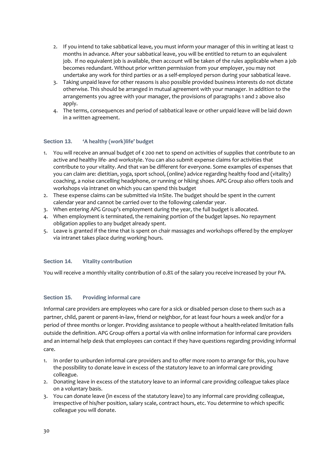- 2. If you intend to take sabbatical leave, you must inform your manager of this in writing at least 12 months in advance. After your sabbatical leave, you will be entitled to return to an equivalent job. If no equivalent job is available, then account will be taken of the rules applicable when a job becomes redundant. Without prior written permission from your employer, you may not undertake any work for third parties or as a self-employed person during your sabbatical leave.
- 3. Taking unpaid leave for other reasons is also possible provided business interests do not dictate otherwise. This should be arranged in mutual agreement with your manager. In addition to the arrangements you agree with your manager, the provisions of paragraphs 1 and 2 above also apply.
- 4. The terms, consequences and period of sabbatical leave or other unpaid leave will be laid down in a written agreement.

# <span id="page-29-0"></span>**Section 13. 'A healthy (work)life' budget**

- 1. You will receive an annual budget of € 200 net to spend on activities of supplies that contribute to an active and healthy life- and workstyle. You can also submit expense claims for activities that contribute to your vitality. And that van be different for everyone. Some examples of expenses that you can claim are: dietitian, yoga, sport school, (online) advice regarding healthy food and (vitality) coaching, a noise cancelling headphone, or running or hiking shoes. APG Group also offers tools and workshops via intranet on which you can spend this budget
- 2. These expense claims can be submitted via InSite. The budget should be spent in the current calendar year and cannot be carried over to the following calendar year.
- 3. When entering APG Group's employment during the year, the full budget is allocated.
- 4. When employment is terminated, the remaining portion of the budget lapses. No repayment obligation applies to any budget already spent.
- 5. Leave is granted if the time that is spent on chair massages and workshops offered by the employer via intranet takes place during working hours.

#### <span id="page-29-1"></span>**Section 14. Vitality contribution**

You will receive a monthly vitality contribution of 0.8% of the salary you receive increased by your PA.

#### <span id="page-29-2"></span>**Section 15. Providing informal care**

Informal care providers are employees who care for a sick or disabled person close to them such as a partner, child, parent or parent-in-law, friend or neighbor, for at least four hours a week and/or for a period of three months or longer. Providing assistance to people without a health-related limitation falls outside the definition. APG Group offers a portal via with online information for informal care providers and an internal help desk that employees can contact if they have questions regarding providing informal care.

- 1. In order to unburden informal care providers and to offer more room to arrange for this, you have the possibility to donate leave in excess of the statutory leave to an informal care providing colleague.
- 2. Donating leave in excess of the statutory leave to an informal care providing colleague takes place on a voluntary basis.
- 3. You can donate leave (in excess of the statutory leave) to any informal care providing colleague, irrespective of his/her position, salary scale, contract hours, etc. You determine to which specific colleague you will donate.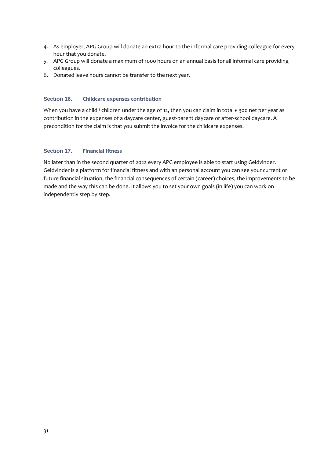- 4. As employer, APG Group will donate an extra hour to the informal care providing colleague for every hour that you donate.
- 5. APG Group will donate a maximum of 1000 hours on an annual basis for all informal care providing colleagues.
- 6. Donated leave hours cannot be transfer to the next year.

#### <span id="page-30-0"></span>**Section 16. Childcare expenses contribution**

When you have a child / children under the age of 12, then you can claim in total € 300 net per year as contribution in the expenses of a daycare center, guest-parent daycare or after-school daycare. A precondition for the claim is that you submit the invoice for the childcare expenses.

#### <span id="page-30-1"></span>**Section 17. Financial fitness**

No later than in the second quarter of 2022 every APG employee is able to start using Geldvinder. Geldvinder is a platform for financial fitness and with an personal account you can see your current or future financial situation, the financial consequences of certain (career) choices, the improvements to be made and the way this can be done. It allows you to set your own goals (in life) you can work on independently step by step.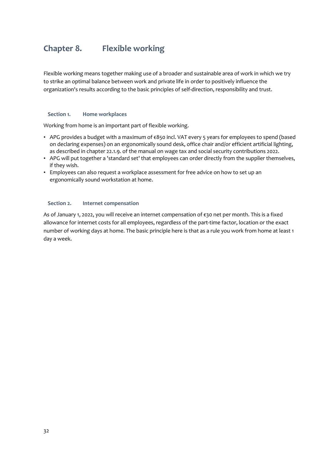# <span id="page-31-0"></span>**Chapter 8. Flexible working**

Flexible working means together making use of a broader and sustainable area of work in which we try to strike an optimal balance between work and private life in order to positively influence the organization's results according to the basic principles of self-direction, responsibility and trust.

#### <span id="page-31-1"></span>**Section 1. Home workplaces**

Working from home is an important part of flexible working.

- APG provides a budget with a maximum of €850 incl. VAT every 5 years for employees to spend (based on declaring expenses) on an ergonomically sound desk, office chair and/or efficient artificial lighting, as described in chapter 22.1.9. of the manual on wage tax and social security contributions 2022.
- APG will put together a 'standard set' that employees can order directly from the supplier themselves, if they wish.
- Employees can also request a workplace assessment for free advice on how to set up an ergonomically sound workstation at home.

#### <span id="page-31-2"></span>**Section 2. Internet compensation**

As of January 1, 2022, you will receive an internet compensation of €30 net per month. This is a fixed allowance for internet costs for all employees, regardless of the part-time factor, location or the exact number of working days at home. The basic principle here is that as a rule you work from home at least 1 day a week.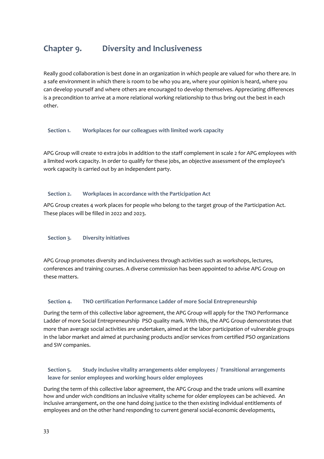# <span id="page-32-0"></span>**Chapter 9. Diversity and Inclusiveness**

Really good collaboration is best done in an organization in which people are valued for who there are. In a safe environment in which there is room to be who you are, where your opinion is heard, where you can develop yourself and where others are encouraged to develop themselves. Appreciating differences is a precondition to arrive at a more relational working relationship to thus bring out the best in each other.

#### <span id="page-32-1"></span>**Section 1. Workplaces for our colleagues with limited work capacity**

APG Group will create 10 extra jobs in addition to the staff complement in scale 2 for APG employees with a limited work capacity. In order to qualify for these jobs, an objective assessment of the employee's work capacity is carried out by an independent party.

# <span id="page-32-2"></span>**Section 2. Workplaces in accordance with the Participation Act**

APG Group creates 4 work places for people who belong to the target group of the Participation Act. These places will be filled in 2022 and 2023.

#### <span id="page-32-3"></span>**Section 3. Diversity initiatives**

APG Group promotes diversity and inclusiveness through activities such as workshops, lectures, conferences and training courses. A diverse commission has been appointed to advise APG Group on these matters.

#### <span id="page-32-4"></span>**Section 4. TNO certification Performance Ladder of more Social Entrepreneurship**

During the term of this collective labor agreement, the APG Group will apply for the TNO Performance Ladder of more Social Entrepreneurship PSO quality mark. With this, the APG Group demonstrates that more than average social activities are undertaken, aimed at the labor participation of vulnerable groups in the labor market and aimed at purchasing products and/or services from certified PSO organizations and SW companies.

# <span id="page-32-5"></span>**Section 5. Study inclusive vitality arrangements older employees / Transitional arrangements leave for senior employees and working hours older employees**

During the term of this collective labor agreement, the APG Group and the trade unions will examine how and under wich conditions an inclusive vitality scheme for older employees can be achieved. An inclusive arrangement, on the one hand doing justice to the then existing individual entitlements of employees and on the other hand responding to current general social-economic developments,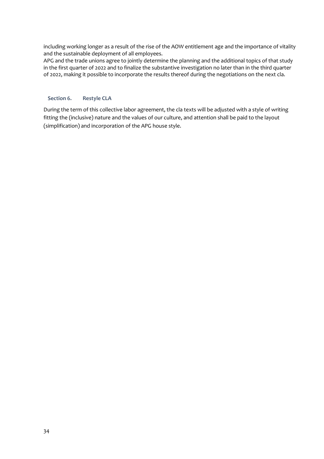including working longer as a result of the rise of the AOW entitlement age and the importance of vitality and the sustainable deployment of all employees.

APG and the trade unions agree to jointly determine the planning and the additional topics of that study in the first quarter of 2022 and to finalize the substantive investigation no later than in the third quarter of 2022, making it possible to incorporate the results thereof during the negotiations on the next cla.

#### <span id="page-33-0"></span>**Section 6. Restyle CLA**

During the term of this collective labor agreement, the cla texts will be adjusted with a style of writing fitting the (inclusive) nature and the values of our culture, and attention shall be paid to the layout (simplification) and incorporation of the APG house style.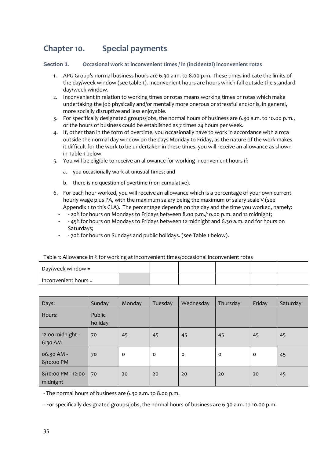# <span id="page-34-0"></span>**Chapter 10. Special payments**

# <span id="page-34-1"></span>**Section 1. Occasional work at inconvenient times / in (incidental) inconvenient rotas**

- 1. APG Group's normal business hours are 6.30 a.m. to 8.00 p.m. These times indicate the limits of the day/week window (see table 1). Inconvenient hours are hours which fall outside the standard day/week window.
- 2. Inconvenient in relation to working times or rotas means working times or rotas which make undertaking the job physically and/or mentally more onerous or stressful and/or is, in general, more socially disruptive and less enjoyable.
- 3. For specifically designated groups/jobs, the normal hours of business are 6.30 a.m. to 10.00 p.m., or the hours of business could be established as 7 times 24 hours per week.
- 4. If, other than in the form of overtime, you occasionally have to work in accordance with a rota outside the normal day window on the days Monday to Friday, as the nature of the work makes it difficult for the work to be undertaken in these times, you will receive an allowance as shown in Table 1 below.
- 5. You will be eligible to receive an allowance for working inconvenient hours if:
	- a. you occasionally work at unusual times; and
	- b. there is no question of overtime (non-cumulative).
- 6. For each hour worked, you will receive an allowance which is a percentage of your own current hourly wage plus PA, with the maximum salary being the maximum of salary scale V (see Appendix 1 to this CLA). The percentage depends on the day and the time you worked, namely:
	- - 20% for hours on Mondays to Fridays between 8.00 p.m./10.00 p.m. and 12 midnight;
	- - 45% for hours on Mondays to Fridays between 12 midnight and 6.30 a.m. and for hours on Saturdays;
	- - 70% for hours on Sundays and public holidays. (see Table 1 below).

| <u>table in the martee in the form the medical content chiles pecasional incommentations</u> |  |  |  |  |  |  |  |
|----------------------------------------------------------------------------------------------|--|--|--|--|--|--|--|
| $\log$ Day/week window =                                                                     |  |  |  |  |  |  |  |
| Inconvenient hours =                                                                         |  |  |  |  |  |  |  |

| Table 1. Allowance in % for working at incorrelation times/occasional incorrelation focas |  |  |  |  |  |  |  |  |
|-------------------------------------------------------------------------------------------|--|--|--|--|--|--|--|--|
|                                                                                           |  |  |  |  |  |  |  |  |

Table 1: Allowance in % for working at inconvenient times/occasional inconvenient rotas

| Days:                          | Sunday            | Monday  | Tuesday | Wednesday   | Thursday | Friday      | Saturday |
|--------------------------------|-------------------|---------|---------|-------------|----------|-------------|----------|
| Hours:                         | Public<br>holiday |         |         |             |          |             |          |
| 12:00 midnight -<br>6:30 AM    | 70                | 45      | 45      | 45          | 45       | 45          | 45       |
| 06.30 AM -<br>8/10:00 PM       | 70                | $\circ$ | $\circ$ | $\mathbf 0$ | $\circ$  | $\mathbf 0$ | 45       |
| 8/10:00 PM - 12:00<br>midnight | 70                | 20      | 20      | 20          | 20       | 20          | 45       |

- The normal hours of business are 6.30 a.m. to 8.00 p.m.

- For specifically designated groups/jobs, the normal hours of business are 6.30 a.m. to 10.00 p.m.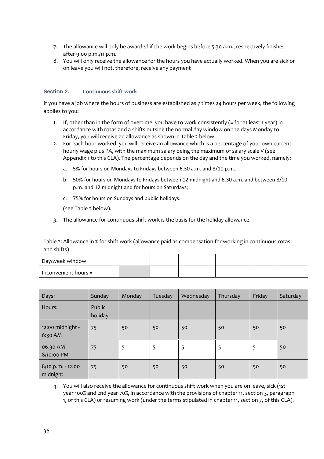- 7. The allowance will only be awarded if the work begins before 5.30 a.m., respectively finishes after 9.00 p.m./11 p.m.
- 8. You will only receive the allowance for the hours you have actually worked. When you are sick or on leave you will not, therefore, receive any payment

#### <span id="page-35-0"></span>**Section 2. Continuous shift work**

If you have a job where the hours of business are established as 7 times 24 hours per week, the following applies to you:

- 1. If, other than in the form of overtime, you have to work consistently (= for at least 1 year) in accordance with rotas and a shifts outside the normal day window on the days Monday to Friday, you will receive an allowance as shown in Table 2 below.
- 2. For each hour worked, you will receive an allowance which is a percentage of your own current hourly wage plus PA, with the maximum salary being the maximum of salary scale V (see Appendix 1 to this CLA). The percentage depends on the day and the time you worked, namely:
	- a. 5% for hours on Mondays to Fridays between 6.30 a.m. and 8/10 p.m.;
	- b. 50% for hours on Mondays to Fridays between 12 midnight and 6.30 a.m. and between 8/10 p.m. and 12 midnight and for hours on Saturdays;
	- c. 75% for hours on Sundays and public holidays.

(see Table 2 below).

3. The allowance for continuous shift work is the basis for the holiday allowance.

Table 2: Allowance in % for shift work (allowance paid as compensation for working in continuous rotas and shifts)

| $\log$ Day/week window = |  |  |  |
|--------------------------|--|--|--|
| Inconvenient hours =     |  |  |  |

| Days:                         | Sunday            | Monday | Tuesday | Wednesday | Thursday | Friday | Saturday |
|-------------------------------|-------------------|--------|---------|-----------|----------|--------|----------|
| Hours:                        | Public<br>holiday |        |         |           |          |        |          |
| 12:00 midnight -<br>6:30 AM   | 75                | 50     | 50      | 50        | 50       | 50     | 50       |
| 06.30 AM -<br>8/10:00 PM      | 75                | 5      | 5       | 5         | 5        | 5      | 50       |
| 8/10 p.m. - 12:00<br>midnight | 75                | 50     | 50      | 50        | 50       | 50     | 50       |

4. You will also receive the allowance for continuous shift work when you are on leave, sick (1st year 100% and 2nd year 70%, in accordance with the provisions of chapter 11, section 3, paragraph 1, of this CLA) or resuming work (under the terms stipulated in chapter 11, section 7, of this CLA).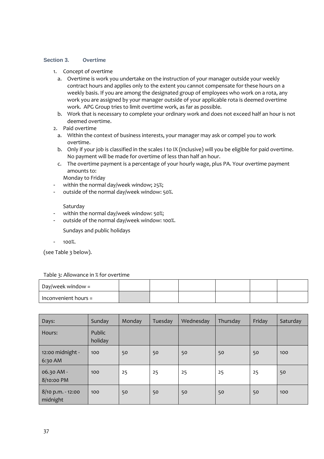#### **Section 3. Overtime**

- 1. Concept of overtime
	- a. Overtime is work you undertake on the instruction of your manager outside your weekly contract hours and applies only to the extent you cannot compensate for these hours on a weekly basis. If you are among the designated group of employees who work on a rota, any work you are assigned by your manager outside of your applicable rota is deemed overtime work. APG Group tries to limit overtime work, as far as possible.
	- b. Work that is necessary to complete your ordinary work and does not exceed half an hour is not deemed overtime.
- 2. Paid overtime
	- a. Within the context of business interests, your manager may ask or compel you to work overtime.
	- b. Only if your job is classified in the scales I to IX (inclusive) will you be eligible for paid overtime. No payment will be made for overtime of less than half an hour.
	- c. The overtime payment is a percentage of your hourly wage, plus PA. Your overtime payment amounts to:

Monday to Friday

- within the normal day/week window; 25%;
- outside of the normal day/week window: 50%.

Saturday

- within the normal day/week window: 50%;
- outside of the normal day/week window: 100%.

Sundays and public holidays

- 100%.

(see Table 3 below).

#### Table 3: Allowance in % for overtime

| $\log$ Day/week window = |  |  |  |
|--------------------------|--|--|--|
| Inconvenient hours =     |  |  |  |

| Days:                         | Sunday            | Monday | Tuesday | Wednesday | Thursday | Friday | Saturday |
|-------------------------------|-------------------|--------|---------|-----------|----------|--------|----------|
| Hours:                        | Public<br>holiday |        |         |           |          |        |          |
| 12:00 midnight -<br>6:30 AM   | 100               | 50     | 50      | 50        | 50       | 50     | 100      |
| 06.30 AM -<br>8/10:00 PM      | 100               | 25     | 25      | 25        | 25       | 25     | 50       |
| 8/10 p.m. - 12:00<br>midnight | 100               | 50     | 50      | 50        | 50       | 50     | 100      |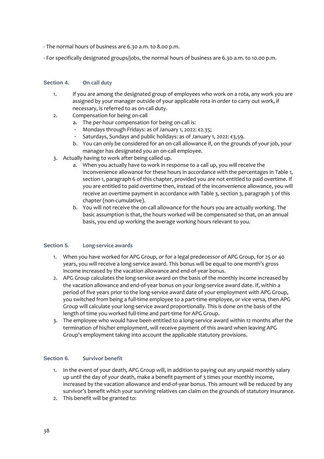- The normal hours of business are 6.30 a.m. to 8.00 p.m.
- For specifically designated groups/jobs, the normal hours of business are 6.30 a.m. to 10.00 p.m.

#### **Section 4. On-call duty**

- 1. If you are among the designated group of employees who work on a rota, any work you are assigned by your manager outside of your applicable rota in order to carry out work, if necessary, is referred to as on-call duty.
- 2. Compensation for being on-call
	- a. The per-hour compensation for being on-call is:
		- Mondays through Fridays: as of January 1, 2022: €2.35;
	- Saturdays, Sundays and public holidays: as of January 1, 2022: €3,59.
	- b. You can only be considered for an on-call allowance if, on the grounds of your job, your manager has designated you an on-call employee.
- 3. Actually having to work after being called up.
	- a. When you actually have to work in response to a call up, you will receive the inconvenience allowance for these hours in accordance with the percentages in Table 1, section 1, paragraph 6 of this chapter, provided you are not entitled to paid overtime. If you are entitled to paid overtime then, instead of the inconvenience allowance, you will receive an overtime payment in accordance with Table 3, section 3, paragraph 3 of this chapter (non-cumulative).
	- b. You will not receive the on-call allowance for the hours you are actually working. The basic assumption is that, the hours worked will be compensated so that, on an annual basis, you end up working the average working hours relevant to you.

#### **Section 5. Long-service awards**

- 1. When you have worked for APG Group, or for a legal predecessor of APG Group, for 25 or 40 years, you will receive a long-service award. This bonus will be equal to one month's gross income increased by the vacation allowance and end-of-year bonus.
- 2. APG Group calculates the long-service award on the basis of the monthly income increased by the vacation allowance and end-of-year bonus on your long-service award date. If, within a period of five years prior to the long-service award date of your employment with APG Group, you switched from being a full-time employee to a part-time employee, or vice versa, then APG Group will calculate your long-service award proportionally. This is done on the basis of the length of time you worked full-time and part-time for APG Group.
- 3. The employee who would have been entitled to a long-service award within 12 months after the termination of his/her employment, will receive payment of this award when leaving APG Group's employment taking into account the applicable statutory provisions.

#### **Section 6. Survivor benefit**

- 1. In the event of your death, APG Group will, in addition to paying out any unpaid monthly salary up until the day of your death, make a benefit payment of 3 times your monthly income, increased by the vacation allowance and end-of-year bonus. This amount will be reduced by any survivor's benefit which your surviving relatives can claim on the grounds of statutory insurance.
- 2. This benefit will be granted to: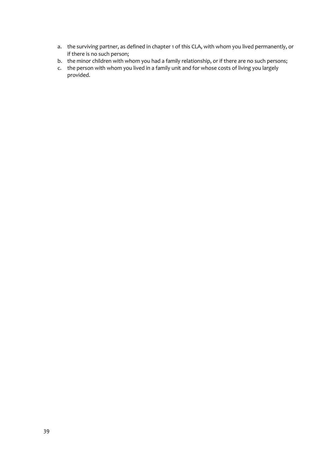- a. the surviving partner, as defined in chapter 1 of this CLA, with whom you lived permanently, or if there is no such person;
- b. the minor children with whom you had a family relationship, or if there are no such persons;
- c. the person with whom you lived in a family unit and for whose costs of living you largely provided.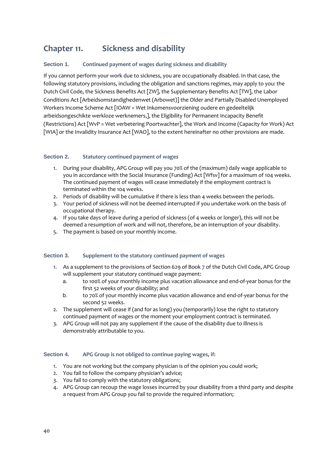## **Chapter 11. Sickness and disability**

#### **Section 1. Continued payment of wages during sickness and disability**

If you cannot perform your work due to sickness, you are occupationally disabled. In that case, the following statutory provisions, including the obligation and sanctions regimes, may apply to you: the Dutch Civil Code, the Sickness Benefits Act [ZW], the Supplementary Benefits Act [TW], the Labor Conditions Act [Arbeidsomstandighedenwet (Arbowet)] the Older and Partially Disabled Unemployed Workers Income Scheme Act [IOAW = Wet Inkomensvoorziening oudere en gedeeltelijk arbeidsongeschikte werkloze werknemers,], the Eligibility for Permanent Incapacity Benefit (Restrictions) Act [WvP = Wet verbetering Poortwachter], the Work and Income (Capacity for Work) Act [WIA] or the Invalidity Insurance Act [WAO], to the extent hereinafter no other provisions are made.

#### **Section 2. Statutory continued payment of wages**

- 1. During your disability, APG Group will pay you 70% of the (maximum) daily wage applicable to you in accordance with the Social Insurance (Funding) Act [Wfsv] for a maximum of 104 weeks. The continued payment of wages will cease immediately if the employment contract is terminated within the 104 weeks.
- 2. Periods of disability will be cumulative if there is less than 4 weeks between the periods.
- 3. Your period of sickness will not be deemed interrupted if you undertake work on the basis of occupational therapy.
- 4. If you take days of leave during a period of sickness (of 4 weeks or longer), this will not be deemed a resumption of work and will not, therefore, be an interruption of your disability.
- 5. The payment is based on your monthly income.

#### **Section 3. Supplement to the statutory continued payment of wages**

- 1. As a supplement to the provisions of Section 629 of Book 7 of the Dutch Civil Code, APG Group will supplement your statutory continued wage payment:
	- a. to 100% of your monthly income plus vacation allowance and end-of-year bonus for the first 52 weeks of your disability; and
	- b. to 70% of your monthly income plus vacation allowance and end-of-year bonus for the second 52 weeks.
- 2. The supplement will cease if (and for as long) you (temporarily) lose the right to statutory continued payment of wages or the moment your employment contract is terminated.
- 3. APG Group will not pay any supplement if the cause of the disability due to illness is demonstrably attributable to you.

#### **Section 4. APG Group is not obliged to continue paying wages, if:**

- 1. You are not working but the company physician is of the opinion you could work;
- 2. You fail to follow the company physician's advice;
- 3. You fail to comply with the statutory obligations;
- 4. APG Group can recoup the wage losses incurred by your disability from a third party and despite a request from APG Group you fail to provide the required information;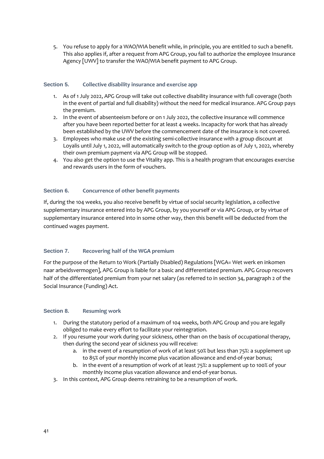5. You refuse to apply for a WAO/WIA benefit while, in principle, you are entitled to such a benefit. This also applies if, after a request from APG Group, you fail to authorize the employee Insurance Agency [UWV] to transfer the WAO/WIA benefit payment to APG Group.

#### **Section 5. Collective disability insurance and exercise app**

- 1. As of 1 July 2022, APG Group will take out collective disability insurance with full coverage (both in the event of partial and full disability) without the need for medical insurance. APG Group pays the premium.
- 2. In the event of absenteeism before or on 1 July 2022, the collective insurance will commence after you have been reported better for at least 4 weeks. Incapacity for work that has already been established by the UWV before the commencement date of the insurance is not covered.
- 3. Employees who make use of the existing semi-collective insurance with a group discount at Loyalis until July 1, 2022, will automatically switch to the group option as of July 1, 2022, whereby their own premium payment via APG Group will be stopped.
- 4. You also get the option to use the Vitality app. This is a health program that encourages exercise and rewards users in the form of vouchers.

#### **Section 6. Concurrence of other benefit payments**

If, during the 104 weeks, you also receive benefit by virtue of social security legislation, a collective supplementary insurance entered into by APG Group, by you yourself or via APG Group, or by virtue of supplementary insurance entered into in some other way, then this benefit will be deducted from the continued wages payment.

#### **Section 7. Recovering half of the WGA premium**

For the purpose of the Return to Work (Partially Disabled) Regulations [WGA= Wet werk en inkomen naar arbeidsvermogen], APG Group is liable for a basic and differentiated premium. APG Group recovers half of the differentiated premium from your net salary (as referred to in section 34, paragraph 2 of the Social Insurance (Funding) Act.

#### **Section 8. Resuming work**

- 1. During the statutory period of a maximum of 104 weeks, both APG Group and you are legally obliged to make every effort to facilitate your reintegration.
- 2. If you resume your work during your sickness, other than on the basis of occupational therapy, then during the second year of sickness you will receive:
	- a. in the event of a resumption of work of at least 50% but less than 75%: a supplement up to 85% of your monthly income plus vacation allowance and end-of-year bonus;
	- b. in the event of a resumption of work of at least 75%: a supplement up to 100% of your monthly income plus vacation allowance and end-of-year bonus.
- 3. In this context, APG Group deems retraining to be a resumption of work.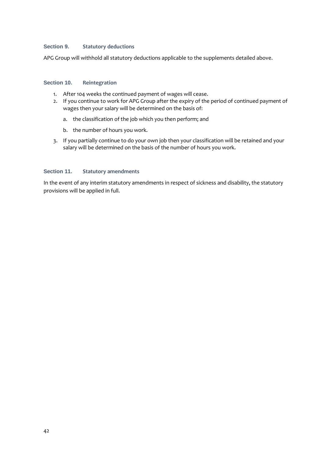#### **Section 9. Statutory deductions**

APG Group will withhold all statutory deductions applicable to the supplements detailed above.

#### **Section 10. Reintegration**

- 1. After 104 weeks the continued payment of wages will cease.
- 2. If you continue to work for APG Group after the expiry of the period of continued payment of wages then your salary will be determined on the basis of:
	- a. the classification of the job which you then perform; and
	- b. the number of hours you work.
- 3. If you partially continue to do your own job then your classification will be retained and your salary will be determined on the basis of the number of hours you work.

#### **Section 11. Statutory amendments**

In the event of any interim statutory amendments in respect of sickness and disability, the statutory provisions will be applied in full.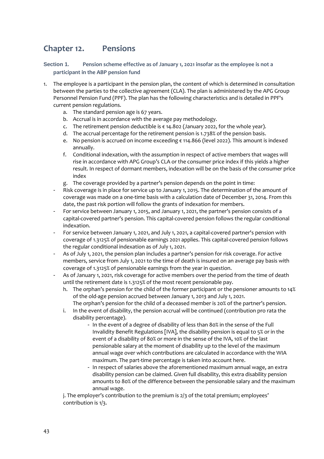## **Chapter 12. Pensions**

**Section 1. Pension scheme effective as of January 1, 2021 insofar as the employee is not a participant in the ABP pension fund** 

- 1. The employee is a participant in the pension plan, the content of which is determined in consultation between the parties to the collective agreement (CLA). The plan is administered by the APG Group Personnel Pension Fund (PPF). The plan has the following characteristics and is detailed in PPF's current pension regulations.
	- a. The standard pension age is 67 years.
	- b. Accrual is in accordance with the average pay methodology.
	- c. The retirement pension deductible is  $\epsilon$  14.802 (January 2022, for the whole year).
	- d. The accrual percentage for the retirement pension is 1.738% of the pension basis.
	- e. No pension is accrued on income exceeding € 114.866 (level 2022). This amount is indexed annually.
	- f. Conditional indexation, with the assumption in respect of active members that wages will rise in accordance with APG Group's CLA or the consumer price index if this yields a higher result. In respect of dormant members, indexation will be on the basis of the consumer price index
	- g. The coverage provided by a partner's pension depends on the point in time:
	- Risk coverage is in place for service up to January 1, 2015. The determination of the amount of coverage was made on a one-time basis with a calculation date of December 31, 2014. From this date, the past risk portion will follow the grants of indexation for members.
	- For service between January 1, 2015, and January 1, 2021, the partner's pension consists of a capital-covered partner's pension. This capital-covered pension follows the regular conditional indexation.
	- For service between January 1, 2021, and July 1, 2021, a capital-covered partner's pension with coverage of 1.3125% of pensionable earnings 2021 applies. This capital-covered pension follows the regular conditional indexation as of July 1, 2021.
	- As of July 1, 2021, the pension plan includes a partner's pension for risk coverage. For active members, service from July 1, 2021 to the time of death is insured on an average pay basis with coverage of 1.3125% of pensionable earnings from the year in question.
	- As of January 1, 2021, risk coverage for active members over the period from the time of death until the retirement date is 1.3125% of the most recent pensionable pay.
		- h. The orphan's pension for the child of the former participant or the pensioner amounts to 14% of the old-age pension accrued between January 1, 2013 and July 1, 2021. The orphan's pension for the child of a deceased member is 20% of the partner's pension.
		- i. In the event of disability, the pension accrual will be continued (contribution pro rata the disability percentage).
			- In the event of a degree of disability of less than 80% in the sense of the Full Invalidity Benefit Regulations [IVA], the disability pension is equal to 5% or in the event of a disability of 80% or more in the sense of the IVA, 10% of the last pensionable salary at the moment of disability up to the level of the maximum annual wage over which contributions are calculated in accordance with the WIA maximum. The part-time percentage is taken into account here.
			- In respect of salaries above the aforementioned maximum annual wage, an extra disability pension can be claimed. Given full disability, this extra disability pension amounts to 80% of the difference between the pensionable salary and the maximum annual wage.

j. The employer's contribution to the premium is 2/3 of the total premium; employees' contribution is 1/3.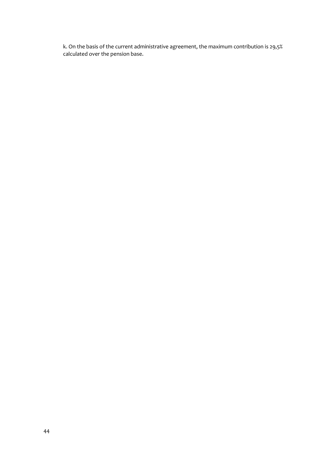k. On the basis of the current administrative agreement, the maximum contribution is 29,5% calculated over the pension base.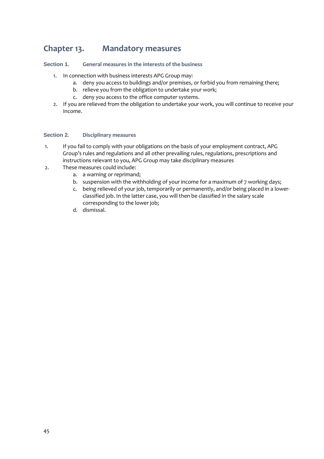## **Chapter 13. Mandatory measures**

#### **Section 1. General measures in the interests of the business**

- 1. In connection with business interests APG Group may:
	- a. deny you access to buildings and/or premises, or forbid you from remaining there;
	- b. relieve you from the obligation to undertake your work;
	- c. deny you access to the office computer systems.
- 2. If you are relieved from the obligation to undertake your work, you will continue to receive your income.

#### **Section 2. Disciplinary measures**

- 1. If you fail to comply with your obligations on the basis of your employment contract, APG Group's rules and regulations and all other prevailing rules, regulations, prescriptions and instructions relevant to you, APG Group may take disciplinary measures
- 2. These measures could include:
	- a. a warning or reprimand;
	- b. suspension with the withholding of your income for a maximum of 7 working days;
	- c. being relieved of your job, temporarily or permanently, and/or being placed in a lowerclassified job. In the latter case, you will then be classified in the salary scale corresponding to the lower job;
	- d. dismissal.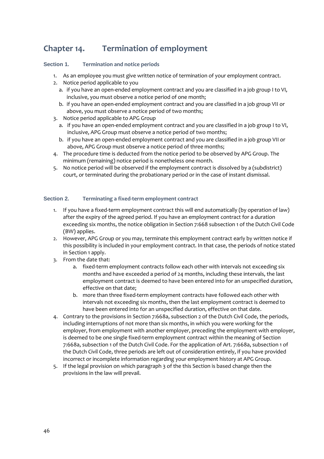## **Chapter 14. Termination of employment**

#### **Section 1. Termination and notice periods**

- 1. As an employee you must give written notice of termination of your employment contract.
- 2. Notice period applicable to you
	- a. if you have an open-ended employment contract and you are classified in a job group I to VI, inclusive, you must observe a notice period of one month;
	- b. if you have an open-ended employment contract and you are classified in a job group VII or above, you must observe a notice period of two months;
- 3. Notice period applicable to APG Group
	- a. if you have an open-ended employment contract and you are classified in a job group I to VI, inclusive, APG Group must observe a notice period of two months;
	- b. if you have an open-ended employment contract and you are classified in a job group VII or above, APG Group must observe a notice period of three months;
- 4. The procedure time is deducted from the notice period to be observed by APG Group. The minimum (remaining) notice period is nonetheless one month.
- 5. No notice period will be observed if the employment contract is dissolved by a (subdistrict) court, or terminated during the probationary period or in the case of instant dismissal.

#### **Section 2. Terminating a fixed-term employment contract**

- 1. If you have a fixed-term employment contract this will end automatically (by operation of law) after the expiry of the agreed period. If you have an employment contract for a duration exceeding six months, the notice obligation in Section 7:668 subsection 1 of the Dutch Civil Code (BW) applies.
- 2. However, APG Group or you may, terminate this employment contract early by written notice if this possibility is included in your employment contract. In that case, the periods of notice stated in Section 1 apply.
- 3. From the date that:
	- a. fixed-term employment contracts follow each other with intervals not exceeding six months and have exceeded a period of 24 months, including these intervals, the last employment contract is deemed to have been entered into for an unspecified duration, effective on that date;
	- b. more than three fixed-term employment contracts have followed each other with intervals not exceeding six months, then the last employment contract is deemed to have been entered into for an unspecified duration, effective on that date.
- 4. Contrary to the provisions in Section 7:668a, subsection 2 of the Dutch Civil Code, the periods, including interruptions of not more than six months, in which you were working for the employer, from employment with another employer, preceding the employment with employer, is deemed to be one single fixed-term employment contract within the meaning of Section 7:668a, subsection 1 of the Dutch Civil Code. For the application of Art. 7:668a, subsection 1 of the Dutch Civil Code, three periods are left out of consideration entirely, if you have provided incorrect or incomplete information regarding your employment history at APG Group.
- 5. If the legal provision on which paragraph 3 of the this Section is based change then the provisions in the law will prevail.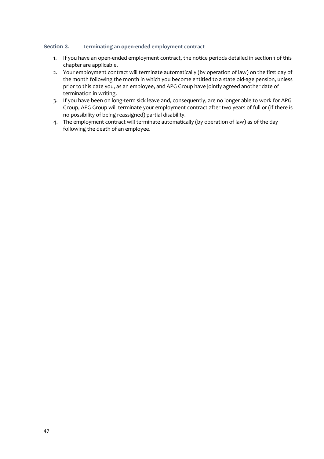#### **Section 3. Terminating an open-ended employment contract**

- 1. If you have an open-ended employment contract, the notice periods detailed in section 1 of this chapter are applicable.
- 2. Your employment contract will terminate automatically (by operation of law) on the first day of the month following the month in which you become entitled to a state old-age pension, unless prior to this date you, as an employee, and APG Group have jointly agreed another date of termination in writing.
- 3. If you have been on long-term sick leave and, consequently, are no longer able to work for APG Group, APG Group will terminate your employment contract after two years of full or (if there is no possibility of being reassigned) partial disability.
- 4. The employment contract will terminate automatically (by operation of law) as of the day following the death of an employee.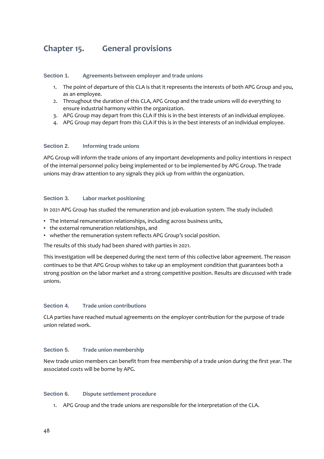## **Chapter 15. General provisions**

#### **Section 1. Agreements between employer and trade unions**

- 1. The point of departure of this CLA is that it represents the interests of both APG Group and you, as an employee.
- 2. Throughout the duration of this CLA, APG Group and the trade unions will do everything to ensure industrial harmony within the organization.
- 3. APG Group may depart from this CLA if this is in the best interests of an individual employee.
- 4. APG Group may depart from this CLA if this is in the best interests of an individual employee.

#### **Section 2. Informing trade unions**

APG Group will inform the trade unions of any important developments and policy intentions in respect of the internal personnel policy being implemented or to be implemented by APG Group. The trade unions may draw attention to any signals they pick up from within the organization.

#### **Section 3. Labor market positioning**

In 2021 APG Group has studied the remuneration and job evaluation system. The study included:

- The internal remuneration relationships, including across business units,
- the external remuneration relationships, and
- whether the remuneration system reflects APG Group's social position.

The results of this study had been shared with parties in 2021.

This investigation will be deepened during the next term of this collective labor agreement. The reason continues to be that APG Group wishes to take up an employment condition that guarantees both a strong position on the labor market and a strong competitive position. Results are discussed with trade unions.

#### **Section 4. Trade union contributions**

CLA parties have reached mutual agreements on the employer contribution for the purpose of trade union related work.

#### **Section 5. Trade union membership**

New trade union members can benefit from free membership of a trade union during the first year. The associated costs will be borne by APG.

#### **Section 6. Dispute settlement procedure**

1. APG Group and the trade unions are responsible for the interpretation of the CLA.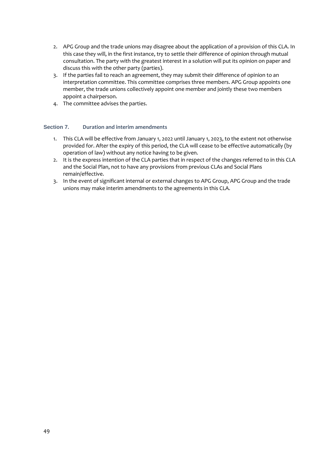- 2. APG Group and the trade unions may disagree about the application of a provision of this CLA. In this case they will, in the first instance, try to settle their difference of opinion through mutual consultation. The party with the greatest interest in a solution will put its opinion on paper and discuss this with the other party (parties).
- 3. If the parties fail to reach an agreement, they may submit their difference of opinion to an interpretation committee. This committee comprises three members. APG Group appoints one member, the trade unions collectively appoint one member and jointly these two members appoint a chairperson.
- 4. The committee advises the parties.

#### **Section 7. Duration and interim amendments**

- 1. This CLA will be effective from January 1, 2022 until January 1, 2023, to the extent not otherwise provided for. After the expiry of this period, the CLA will cease to be effective automatically (by operation of law) without any notice having to be given.
- 2. It is the express intention of the CLA parties that in respect of the changes referred to in this CLA and the Social Plan, not to have any provisions from previous CLAs and Social Plans remain/effective.
- 3. In the event of significant internal or external changes to APG Group, APG Group and the trade unions may make interim amendments to the agreements in this CLA.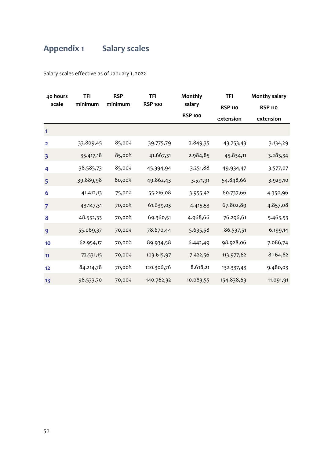# **Appendix 1 Salary scales**

Salary scales effective as of January 1, 2022

| 40 hours                | <b>TFI</b> | <b>RSP</b> | <b>TFI</b>     | Monthly        | <b>TFI</b>     | <b>Monthy salary</b> |
|-------------------------|------------|------------|----------------|----------------|----------------|----------------------|
| scale                   | minimum    | minimum    | <b>RSP 100</b> | salary         | <b>RSP 110</b> | <b>RSP 110</b>       |
|                         |            |            |                | <b>RSP 100</b> | extension      | extension            |
| $\mathbf{1}$            |            |            |                |                |                |                      |
| $\overline{\mathbf{2}}$ | 33.809,45  | 85,00%     | 39.775,79      | 2.849,35       | 43.753,43      | 3.134,29             |
| $\overline{\mathbf{3}}$ | 35.417,18  | 85,00%     | 41.667,31      | 2.984,85       | 45.834,11      | 3.283,34             |
| 4                       | 38.585,73  | 85,00%     | 45.394,94      | 3.251,88       | 49.934,47      | 3.577,07             |
| 5                       | 39.889,98  | 80,00%     | 49.862,43      | 3.571,91       | 54.848,66      | 3.929,10             |
| 6                       | 41.412,13  | 75,00%     | 55.216,08      | 3.955,42       | 60.737,66      | 4.350,96             |
| $\overline{7}$          | 43.147,31  | 70,00%     | 61.639,03      | 4.415,53       | 67.802,89      | 4.857,08             |
| 8                       | 48.552,33  | 70,00%     | 69.360,51      | 4.968,66       | 76.296,61      | 5.465,53             |
| 9                       | 55.069,37  | 70,00%     | 78.670,44      | 5.635,58       | 86.537,51      | 6.199,14             |
| 10                      | 62.954,17  | 70,00%     | 89.934,58      | 6.442,49       | 98.928,06      | 7.086,74             |
| 11                      | 72.531,15  | 70,00%     | 103.615,97     | 7.422,56       | 113.977,62     | 8.164,82             |
| 12                      | 84.214,78  | 70,00%     | 120.306,76     | 8.618,21       | 132.337,43     | 9.480,03             |
| 13                      | 98.533,70  | 70,00%     | 140.762,32     | 10.083,55      | 154.838,63     | 11.091,91            |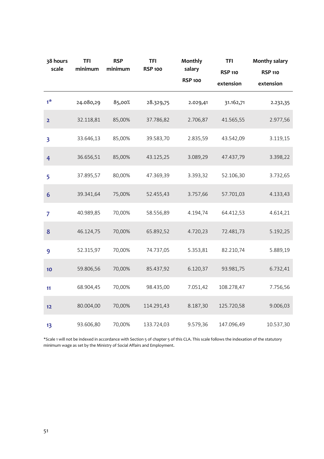| 38 hours<br>scale       | <b>TFI</b><br>minimum | <b>RSP</b><br>minimum | <b>TFI</b><br><b>RSP 100</b> | Monthly<br>salary<br><b>RSP 100</b> | <b>TFI</b><br><b>RSP 110</b><br>extension | <b>Monthy salary</b><br><b>RSP 110</b><br>extension |
|-------------------------|-----------------------|-----------------------|------------------------------|-------------------------------------|-------------------------------------------|-----------------------------------------------------|
| $1*$                    | 24.080,29             | 85,00%                | 28.329,75                    | 2.029,41                            | 31.162,71                                 | 2.232,35                                            |
| $\overline{2}$          | 32.118,81             | 85,00%                | 37.786,82                    | 2.706,87                            | 41.565,55                                 | 2.977,56                                            |
| $\overline{\mathbf{3}}$ | 33.646,13             | 85,00%                | 39.583,70                    | 2.835,59                            | 43.542,09                                 | 3.119,15                                            |
| $\overline{4}$          | 36.656,51             | 85,00%                | 43.125,25                    | 3.089,29                            | 47.437,79                                 | 3.398,22                                            |
| 5                       | 37.895,57             | 80,00%                | 47.369,39                    | 3.393,32                            | 52.106,30                                 | 3.732,65                                            |
| 6                       | 39.341,64             | 75,00%                | 52.455,43                    | 3.757,66                            | 57.701,03                                 | 4.133,43                                            |
| $\overline{7}$          | 40.989,85             | 70,00%                | 58.556,89                    | 4.194,74                            | 64.412,53                                 | 4.614,21                                            |
| 8                       | 46.124,75             | 70,00%                | 65.892,52                    | 4.720,23                            | 72.481,73                                 | 5.192,25                                            |
| 9                       | 52.315,97             | 70,00%                | 74.737,05                    | 5.353,81                            | 82.210,74                                 | 5.889,19                                            |
| 10                      | 59.806,56             | 70,00%                | 85.437,92                    | 6.120,37                            | 93.981,75                                 | 6.732,41                                            |
| 11                      | 68.904,45             | 70,00%                | 98.435,00                    | 7.051,42                            | 108.278,47                                | 7.756,56                                            |
| 12                      | 80.004,00             | 70,00%                | 114.291,43                   | 8.187,30                            | 125.720,58                                | 9.006,03                                            |
| 13                      | 93.606,80             | 70,00%                | 133.724,03                   | 9.579,36                            | 147.096,49                                | 10.537,30                                           |

\*Scale 1 will not be indexed in accordance with Section 5 of chapter 5 of this CLA. This scale follows the indexation of the statutory minimum wage as set by the Ministry of Social Affairs and Employment.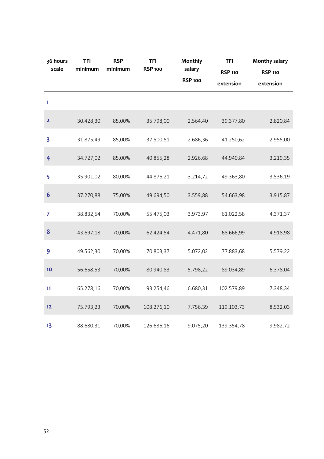| 36 hours                | <b>TFI</b> | <b>RSP</b> | <b>TFI</b>     | Monthly        | <b>TFI</b>     | <b>Monthy salary</b> |
|-------------------------|------------|------------|----------------|----------------|----------------|----------------------|
| scale                   | minimum    | minimum    | <b>RSP 100</b> | salary         | <b>RSP 110</b> | <b>RSP 110</b>       |
|                         |            |            |                | <b>RSP 100</b> | extension      | extension            |
| 1                       |            |            |                |                |                |                      |
| 2                       | 30.428,30  | 85,00%     | 35.798,00      | 2.564,40       | 39.377,80      | 2.820,84             |
| $\overline{\mathbf{3}}$ | 31.875,49  | 85,00%     | 37.500,51      | 2.686,36       | 41.250,62      | 2.955,00             |
| $\overline{4}$          | 34.727,02  | 85,00%     | 40.855,28      | 2.926,68       | 44.940,84      | 3.219,35             |
| 5                       | 35.901,02  | 80,00%     | 44.876,21      | 3.214,72       | 49.363,80      | 3.536,19             |
| 6                       | 37.270,88  | 75,00%     | 49.694,50      | 3.559,88       | 54.663,98      | 3.915,87             |
| $\overline{7}$          | 38.832,54  | 70,00%     | 55.475,03      | 3.973,97       | 61.022,58      | 4.371,37             |
| 8                       | 43.697,18  | 70,00%     | 62.424,54      | 4.471,80       | 68.666,99      | 4.918,98             |
| 9                       | 49.562,30  | 70,00%     | 70.803,37      | 5.072,02       | 77.883,68      | 5.579,22             |
| 10                      | 56.658,53  | 70,00%     | 80.940,83      | 5.798,22       | 89.034,89      | 6.378,04             |
| 11                      | 65.278,16  | 70,00%     | 93.254,46      | 6.680,31       | 102.579,89     | 7.348,34             |
| 12                      | 75.793,23  | 70,00%     | 108.276,10     | 7.756,39       | 119.103,73     | 8.532,03             |
| 13                      | 88.680,31  | 70,00%     | 126.686,16     | 9.075,20       | 139.354,78     | 9.982,72             |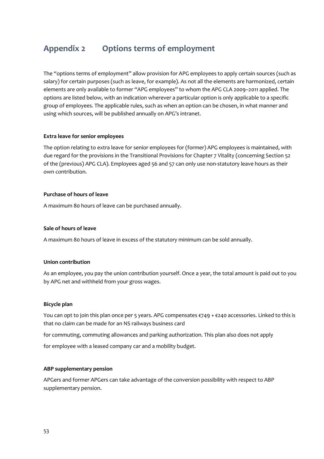## **Appendix 2 Options terms of employment**

The "options terms of employment" allow provision for APG employees to apply certain sources (such as salary) for certain purposes (such as leave, for example). As not all the elements are harmonized, certain elements are only available to former "APG employees" to whom the APG CLA 2009–2011 applied. The options are listed below, with an indication wherever a particular option is only applicable to a specific group of employees. The applicable rules, such as when an option can be chosen, in what manner and using which sources, will be published annually on APG's intranet.

#### **Extra leave for senior employees**

The option relating to extra leave for senior employees for (former) APG employees is maintained, with due regard for the provisions in the Transitional Provisions for Chapter 7 Vitality (concerning Section 52 of the (previous) APG CLA). Employees aged 56 and 57 can only use non-statutory leave hours as their own contribution.

#### **Purchase of hours of leave**

A maximum 80 hours of leave can be purchased annually.

#### **Sale of hours of leave**

A maximum 80 hours of leave in excess of the statutory minimum can be sold annually.

#### **Union contribution**

As an employee, you pay the union contribution yourself. Once a year, the total amount is paid out to you by APG net and withheld from your gross wages.

#### **Bicycle plan**

You can opt to join this plan once per 5 years. APG compensates €749 + €240 accessories. Linked to this is that no claim can be made for an NS railways business card

for commuting, commuting allowances and parking authorization. This plan also does not apply

for employee with a leased company car and a mobility budget.

#### **ABP supplementary pension**

APGers and former APGers can take advantage of the conversion possibility with respect to ABP supplementary pension.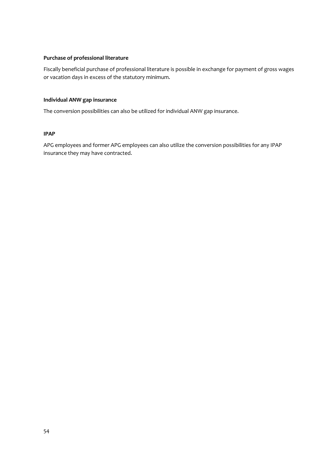#### **Purchase of professional literature**

Fiscally beneficial purchase of professional literature is possible in exchange for payment of gross wages or vacation days in excess of the statutory minimum.

#### **Individual ANW gap insurance**

The conversion possibilities can also be utilized for individual ANW gap insurance.

#### **IPAP**

APG employees and former APG employees can also utilize the conversion possibilities for any IPAP insurance they may have contracted.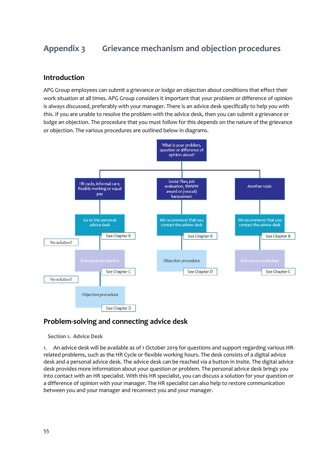## **Appendix 3 Grievance mechanism and objection procedures**

### **Introduction**

APG Group employees can submit a grievance or lodge an objection about conditions that effect their work situation at all times. APG Group considers it important that your problem or difference of opinion is always discussed, preferably with your manager. There is an advice desk specifically to help you with this. If you are unable to resolve the problem with the advice desk, then you can submit a grievance or lodge an objection. The procedure that you must follow for this depends on the nature of the grievance or objection. The various procedures are outlined below in diagrams.



### **Problem-solving and connecting advice desk**

#### **Section 1. Advice Desk**

1. An advice desk will be available as of 1 October 2019 for questions and support regarding various HRrelated problems, such as the HR Cycle or flexible working hours. The desk consists of a digital advice desk and a personal advice desk. The advice desk can be reached via a button in Insite. The digital advice desk provides more information about your question or problem. The personal advice desk brings you into contact with an HR specialist. With this HR specialist, you can discuss a solution for your question or a difference of opinion with your manager. The HR specialist can also help to restore communication between you and your manager and reconnect you and your manager.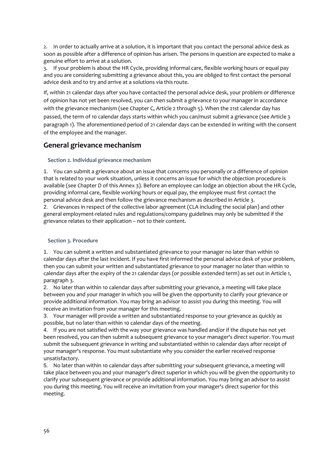2. In order to actually arrive at a solution, it is important that you contact the personal advice desk as soon as possible after a difference of opinion has arisen. The persons in question are expected to make a genuine effort to arrive at a solution.

3. If your problem is about the HR Cycle, providing informal care, flexible working hours or equal pay and you are considering submitting a grievance about this, you are obliged to first contact the personal advice desk and to try and arrive at a solutions via this route.

If, within 21 calendar days after you have contacted the personal advice desk, your problem or difference of opinion has not yet been resolved, you can then submit a grievance to your manager in accordance with the grievance mechanism (see Chapter C, Article 2 through 5). When the 21st calendar day has passed, the term of 10 calendar days starts within which you can/must submit a grievance (see Article 3 paragraph 1). The aforementioned period of 21 calendar days can be extended in writing with the consent of the employee and the manager.

### **General grievance mechanism**

#### **Section 2. Individual grievance mechanism**

1. You can submit a grievance about an issue that concerns you personally or a difference of opinion that is related to your work situation, unless it concerns an issue for which the objection procedure is available (see Chapter D of this Annex 3). Before an employee can lodge an objection about the HR Cycle, providing informal care, flexible working hours or equal pay, the employee must first contact the personal advice desk and then follow the grievance mechanism as described in Article 3. 2. Grievances in respect of the collective labor agreement (CLA including the social plan) and other general employment-related rules and regulations/company guidelines may only be submitted if the grievance relates to their application – not to their content.

#### **Section 3. Procedure**

1. You can submit a written and substantiated grievance to your manager no later than within 10 calendar days after the last incident. If you have first informed the personal advice desk of your problem, then you can submit your written and substantiated grievance to your manager no later than within 10 calendar days after the expiry of the 21 calendar days (or possible extended term) as set out in Article 1, paragraph 3.

2. No later than within 10 calendar days after submitting your grievance, a meeting will take place between you and your manager in which you will be given the opportunity to clarify your grievance or provide additional information. You may bring an advisor to assist you during this meeting. You will receive an invitation from your manager for this meeting.

3. Your manager will provide a written and substantiated response to your grievance as quickly as possible, but no later than within 10 calendar days of the meeting.

4. If you are not satisfied with the way your grievance was handled and/or if the dispute has not yet been resolved, you can then submit a subsequent grievance to your manager's direct superior. You must submit the subsequent grievance in writing and substantiated within 10 calendar days after receipt of your manager's response. You must substantiate why you consider the earlier received response unsatisfactory.

5. No later than within 10 calendar days after submitting your subsequent grievance, a meeting will take place between you and your manager's direct superior in which you will be given the opportunity to clarify your subsequent grievance or provide additional information. You may bring an advisor to assist you during this meeting. You will receive an invitation from your manager's direct superior for this meeting.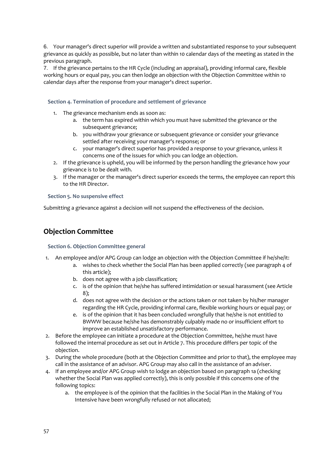6. Your manager's direct superior will provide a written and substantiated response to your subsequent grievance as quickly as possible, but no later than within 10 calendar days of the meeting as stated in the previous paragraph.

7. If the grievance pertains to the HR Cycle (including an appraisal), providing informal care, flexible working hours or equal pay, you can then lodge an objection with the Objection Committee within 10 calendar days after the response from your manager's direct superior.

#### **Section 4. Termination of procedure and settlement of grievance**

- 1. The grievance mechanism ends as soon as:
	- a. the term has expired within which you must have submitted the grievance or the subsequent grievance;
	- b. you withdraw your grievance or subsequent grievance or consider your grievance settled after receiving your manager's response; or
	- c. your manager's direct superior has provided a response to your grievance, unless it concerns one of the issues for which you can lodge an objection.
- 2. If the grievance is upheld, you will be informed by the person handling the grievance how your grievance is to be dealt with.
- 3. If the manager or the manager's direct superior exceeds the terms, the employee can report this to the HR Director.

#### **Section 5. No suspensive effect**

Submitting a grievance against a decision will not suspend the effectiveness of the decision.

### **Objection Committee**

#### **Section 6. Objection Committee general**

- 1. An employee and/or APG Group can lodge an objection with the Objection Committee if he/she/it:
	- a. wishes to check whether the Social Plan has been applied correctly (see paragraph 4 of this article);
	- b. does not agree with a job classification;
	- c. is of the opinion that he/she has suffered intimidation or sexual harassment (see Article 8);
	- d. does not agree with the decision or the actions taken or not taken by his/her manager regarding the HR Cycle, providing informal care, flexible working hours or equal pay; or
	- e. is of the opinion that it has been concluded wrongfully that he/she is not entitled to BWWW because he/she has demonstrably culpably made no or insufficient effort to improve an established unsatisfactory performance.
- 2. Before the employee can initiate a procedure at the Objection Committee, he/she must have followed the internal procedure as set out in Article 7. This procedure differs per topic of the objection.
- 3. During the whole procedure (both at the Objection Committee and prior to that), the employee may call in the assistance of an advisor. APG Group may also call in the assistance of an adviser.
- 4. If an employee and/or APG Group wish to lodge an objection based on paragraph 1a (checking whether the Social Plan was applied correctly), this is only possible if this concerns one of the following topics:
	- a. the employee is of the opinion that the facilities in the Social Plan in the Making of You Intensive have been wrongfully refused or not allocated;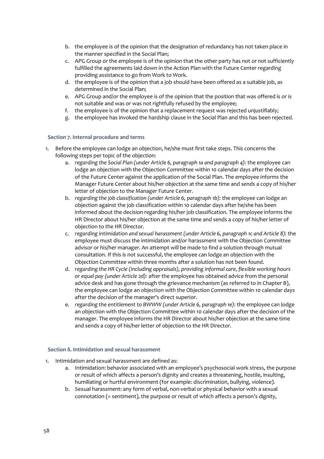- b. the employee is of the opinion that the designation of redundancy has not taken place in the manner specified in the Social Plan;
- c. APG Group or the employee is of the opinion that the other party has not or not sufficiently fulfilled the agreements laid down in the Action Plan with the Future Center regarding providing assistance to go from Work to Work.
- d. the employee is of the opinion that a job should have been offered as a suitable job, as determined in the Social Plan;
- e. APG Group and/or the employee is of the opinion that the position that was offered is or is not suitable and was or was not rightfully refused by the employee;
- f. the employee is of the opinion that a replacement request was rejected unjustifiably;
- g. the employee has invoked the hardship clause in the Social Plan and this has been rejected.

#### **Section 7. Internal procedure and terms**

- 1. Before the employee can lodge an objection, he/she must first take steps. This concerns the following steps per topic of the objection:
	- a. *regarding the Social Plan (under Article 6, paragraph 1a and paragraph 4):* the employee can lodge an objection with the Objection Committee within 10 calendar days after the decision of the Future Center against the application of the Social Plan. The employee informs the Manager Future Center about his/her objection at the same time and sends a copy of his/her letter of objection to the Manager Future Center.
	- b. *regarding the job classification (under Article 6, paragraph 1b):* the employee can lodge an objection against the job classification within 10 calendar days after he/she has been informed about the decision regarding his/her job classification. The employee informs the HR Director about his/her objection at the same time and sends a copy of his/her letter of objection to the HR Director.
	- c. *regarding intimidation and sexual harassment (under Article 6, paragraph 1c and Article 8):* the employee must discuss the intimidation and/or harassment with the Objection Committee advisor or his/her manager. An attempt will be made to find a solution through mutual consultation. If this is not successful, the employee can lodge an objection with the Objection Committee within three months after a solution has not been found.
	- d. *regarding the HR Cycle (including appraisals), providing informal care, flexible working hours or equal pay (under Article 2d):* after the employee has obtained advice from the personal advice desk and has gone through the grievance mechanism (as referred to in Chapter B), the employee can lodge an objection with the Objection Committee within 10 calendar days after the decision of the manager's direct superior.
	- e. *regarding the entitlement to BWWW (under Article 6, paragraph 1e):* the employee can lodge an objection with the Objection Committee within 10 calendar days after the decision of the manager. The employee informs the HR Director about his/her objection at the same time and sends a copy of his/her letter of objection to the HR Director.

#### **Section 8. Intimidation and sexual harassment**

- 1. Intimidation and sexual harassment are defined as:
	- a. Intimidation: behavior associated with an employee's psychosocial work stress, the purpose or result of which affects a person's dignity and creates a threatening, hostile, insulting, humiliating or hurtful environment (for example: discrimination, bullying, violence).
	- b. Sexual harassment: any form of verbal, non-verbal or physical behavior with a sexual connotation (= sentiment), the purpose or result of which affects a person's dignity,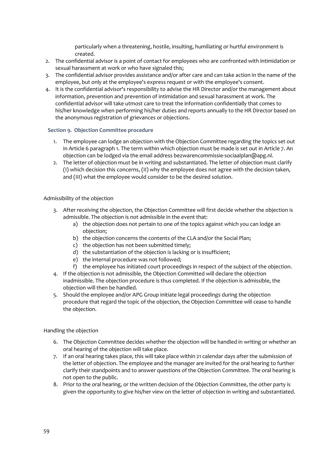particularly when a threatening, hostile, insulting, humiliating or hurtful environment is created.

- 2. The confidential advisor is a point of contact for employees who are confronted with intimidation or sexual harassment at work or who have signaled this;
- 3. The confidential advisor provides assistance and/or after care and can take action in the name of the employee, but only at the employee's express request or with the employee's consent.
- 4. It is the confidential advisor's responsibility to advise the HR Director and/or the management about information, prevention and prevention of intimidation and sexual harassment at work. The confidential advisor will take utmost care to treat the information confidentially that comes to his/her knowledge when performing his/her duties and reports annually to the HR Director based on the anonymous registration of grievances or objections.

#### **Section 9. Objection Committee procedure**

- 1. The employee can lodge an objection with the Objection Committee regarding the topics set out in Article 6 paragraph 1. The term within which objection must be made is set out in Article 7. An objection can be lodged via the email address bezwarencommissie-sociaalplan@apg.nl.
- 2. The letter of objection must be in writing and substantiated. The letter of objection must clarify (I) which decision this concerns, (II) why the employee does not agree with the decision taken, and (III) what the employee would consider to be the desired solution.

#### Admissibility of the objection

- 3. After receiving the objection, the Objection Committee will first decide whether the objection is admissible. The objection is not admissible in the event that:
	- a) the objection does not pertain to one of the topics against which you can lodge an objection;
	- b) the objection concerns the contents of the CLA and/or the Social Plan;
	- c) the objection has not been submitted timely;
	- d) the substantiation of the objection is lacking or is insufficient;
	- e) the internal procedure was not followed;
	- f) the employee has initiated court proceedings in respect of the subject of the objection.
- 4. If the objection is not admissible, the Objection Committed will declare the objection inadmissible. The objection procedure is thus completed. If the objection is admissible, the objection will then be handled.
- 5. Should the employee and/or APG Group initiate legal proceedings during the objection procedure that regard the topic of the objection, the Objection Committee will cease to handle the objection.

#### Handling the objection

- 6. The Objection Committee decides whether the objection will be handled in writing or whether an oral hearing of the objection will take place.
- 7. If an oral hearing takes place, this will take place within 21 calendar days after the submission of the letter of objection. The employee and the manager are invited for the oral hearing to further clarify their standpoints and to answer questions of the Objection Committee. The oral hearing is not open to the public.
- 8. Prior to the oral hearing, or the written decision of the Objection Committee, the other party is given the opportunity to give his/her view on the letter of objection in writing and substantiated.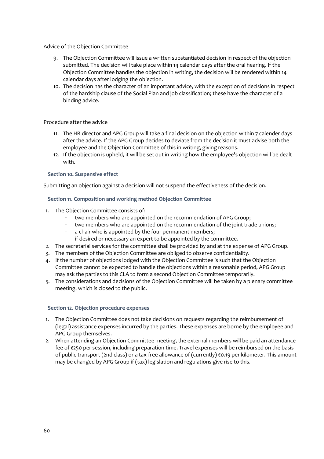Advice of the Objection Committee

- 9. The Objection Committee will issue a written substantiated decision in respect of the objection submitted. The decision will take place within 14 calendar days after the oral hearing. If the Objection Committee handles the objection in writing, the decision will be rendered within 14 calendar days after lodging the objection.
- 10. The decision has the character of an important advice, with the exception of decisions in respect of the hardship clause of the Social Plan and job classification; these have the character of a binding advice.

#### Procedure after the advice

- 11. The HR director and APG Group will take a final decision on the objection within 7 calender days after the advice. If the APG Group decides to deviate from the decision it must advise both the employee and the Objection Committee of this in writing, giving reasons.
- 12. If the objection is upheld, it will be set out in writing how the employee's objection will be dealt with.

#### **Section 10. Suspensive effect**

Submitting an objection against a decision will not suspend the effectiveness of the decision.

**Section 11. Composition and working method Objection Committee** 

- 1. The Objection Committee consists of:
	- two members who are appointed on the recommendation of APG Group;
	- two members who are appointed on the recommendation of the joint trade unions;
	- a chair who is appointed by the four permanent members;
	- if desired or necessary an expert to be appointed by the committee.
- 2. The secretarial services for the committee shall be provided by and at the expense of APG Group.
- 3. The members of the Objection Committee are obliged to observe confidentiality.
- 4. If the number of objections lodged with the Objection Committee is such that the Objection Committee cannot be expected to handle the objections within a reasonable period, APG Group may ask the parties to this CLA to form a second Objection Committee temporarily.
- 5. The considerations and decisions of the Objection Committee will be taken by a plenary committee meeting, which is closed to the public.

#### **Section 12. Objection procedure expenses**

- 1. The Objection Committee does not take decisions on requests regarding the reimbursement of (legal) assistance expenses incurred by the parties. These expenses are borne by the employee and APG Group themselves.
- 2. When attending an Objection Committee meeting, the external members will be paid an attendance fee of €250 per session, including preparation time. Travel expenses will be reimbursed on the basis of public transport (2nd class) or a tax-free allowance of (currently) €0.19 per kilometer. This amount may be changed by APG Group if (tax) legislation and regulations give rise to this.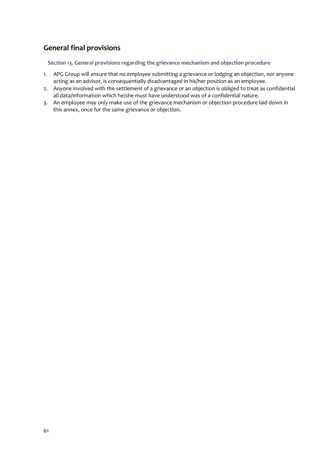### **General final provisions**

**Section 13. General provisions regarding the grievance mechanism and objection procedure** 

- 1. APG Group will ensure that no employee submitting a grievance or lodging an objection, nor anyone acting as an advisor, is consequentially disadvantaged in his/her position as an employee.
- 2. Anyone involved with the settlement of a grievance or an objection is obliged to treat as confidential all data/information which he/she must have understood was of a confidential nature.
- 3. An employee may only make use of the grievance mechanism or objection procedure laid down in this annex, once for the same grievance or objection.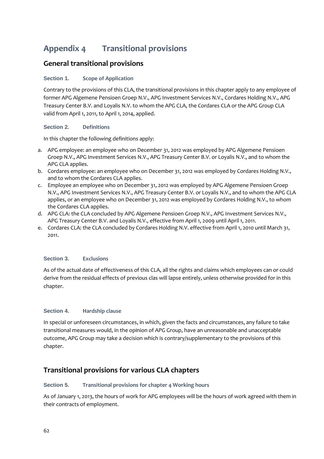## **Appendix 4 Transitional provisions**

### **General transitional provisions**

#### **Section 1. Scope of Application**

Contrary to the provisions of this CLA, the transitional provisions in this chapter apply to any employee of former APG Algemene Pensioen Groep N.V., APG Investment Services N.V., Cordares Holding N.V., APG Treasury Center B.V. and Loyalis N.V. to whom the APG CLA, the Cordares CLA or the APG Group CLA valid from April 1, 2011, to April 1, 2014, applied.

#### **Section 2. Definitions**

In this chapter the following definitions apply:

- a. APG employee: an employee who on December 31, 2012 was employed by APG Algemene Pensioen Groep N.V., APG Investment Services N.V., APG Treasury Center B.V. or Loyalis N.V., and to whom the APG CLA applies.
- b. Cordares employee: an employee who on December 31, 2012 was employed by Cordares Holding N.V., and to whom the Cordares CLA applies.
- c. Employee an employee who on December 31, 2012 was employed by APG Algemene Pensioen Groep N.V., APG Investment Services N.V., APG Treasury Center B.V. or Loyalis N.V., and to whom the APG CLA applies, or an employee who on December 31, 2012 was employed by Cordares Holding N.V., to whom the Cordares CLA applies.
- d. APG CLA: the CLA concluded by APG Algemene Pensioen Groep N.V., APG Investment Services N.V., APG Treasury Center B.V. and Loyalis N.V., effective from April 1, 2009 until April 1, 2011.
- e. Cordares CLA: the CLA concluded by Cordares Holding N.V. effective from April 1, 2010 until March 31, 2011.

#### **Section 3. Exclusions**

As of the actual date of effectiveness of this CLA, all the rights and claims which employees can or could derive from the residual effects of previous clas will lapse entirely, unless otherwise provided for in this chapter.

#### **Section 4. Hardship clause**

In special or unforeseen circumstances, in which, given the facts and circumstances, any failure to take transitional measures would, in the opinion of APG Group, have an unreasonable and unacceptable outcome, APG Group may take a decision which is contrary/supplementary to the provisions of this chapter.

### **Transitional provisions for various CLA chapters**

#### **Section 5. Transitional provisions for chapter 4 Working hours**

As of January 1, 2013, the hours of work for APG employees will be the hours of work agreed with them in their contracts of employment.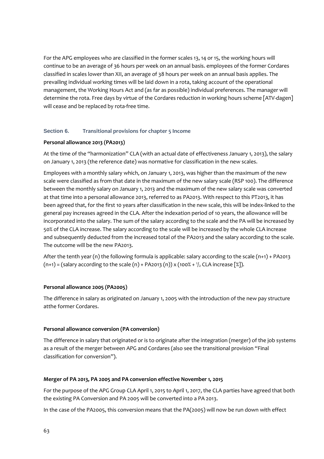For the APG employees who are classified in the former scales 13, 14 or 15, the working hours will continue to be an average of 36 hours per week on an annual basis. employees of the former Cordares classified in scales lower than XII, an average of 38 hours per week on an annual basis applies. The prevailing individual working times will be laid down in a rota, taking account of the operational management, the Working Hours Act and (as far as possible) individual preferences. The manager will determine the rota. Free days by virtue of the Cordares reduction in working hours scheme [ATV-dagen] will cease and be replaced by rota-free time.

#### **Section 6. Transitional provisions for chapter 5 Income**

#### **Personal allowance 2013 (PA2013)**

At the time of the "harmonization" CLA (with an actual date of effectiveness January 1, 2013), the salary on January 1, 2013 (the reference date) was normative for classification in the new scales.

Employees with a monthly salary which, on January 1, 2013, was higher than the maximum of the new scale were classified as from that date in the maximum of the new salary scale (RSP 100). The difference between the monthly salary on January 1, 2013 and the maximum of the new salary scale was converted at that time into a personal allowance 2013, referred to as PA2013. With respect to this PT2013, it has been agreed that, for the first 10 years after classification in the new scale, this will be index-linked to the general pay increases agreed in the CLA. After the indexation period of 10 years, the allowance will be incorporated into the salary. The sum of the salary according to the scale and the PA will be increased by 50% of the CLA increase. The salary according to the scale will be increased by the whole CLA increase and subsequently deducted from the increased total of the PA2013 and the salary according to the scale. The outcome will be the new PA2013.

After the tenth year (n) the following formula is applicable: salary according to the scale (n+1) + PA2013  $(n+1)$  = (salary according to the scale  $(n)$  + PA2013  $(n)$ ) x (100% +  $\frac{1}{2}$  CLA increase [%]).

#### **Personal allowance 2005 (PA2005)**

The difference in salary as originated on January 1, 2005 with the introduction of the new pay structure atthe former Cordares.

#### **Personal allowance conversion (PA conversion)**

The difference in salary that originated or is to originate after the integration (merger) of the job systems as a result of the merger between APG and Cordares (also see the transitional provision "Final classification for conversion").

#### **Merger of PA 2013, PA 2005 and PA conversion effective November 1, 2015**

For the purpose of the APG Group CLA April 1, 2015 to April 1, 2017, the CLA parties have agreed that both the existing PA Conversion and PA 2005 will be converted into a PA 2013.

In the case of the PA2005, this conversion means that the PA(2005) will now be run down with effect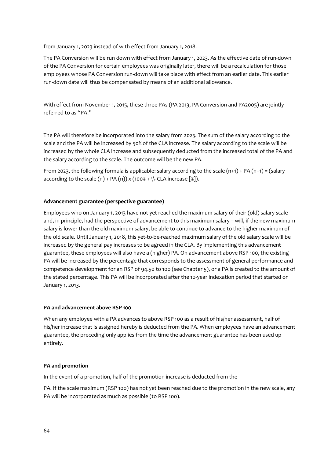from January 1, 2023 instead of with effect from January 1, 2018.

The PA Conversion will be run down with effect from January 1, 2023. As the effective date of run-down of the PA Conversion for certain employees was originally later, there will be a recalculation for those employees whose PA Conversion run-down will take place with effect from an earlier date. This earlier run-down date will thus be compensated by means of an additional allowance.

With effect from November 1, 2015, these three PAs (PA 2013, PA Conversion and PA2005) are jointly referred to as "PA"

The PA will therefore be incorporated into the salary from 2023. The sum of the salary according to the scale and the PA will be increased by 50% of the CLA increase. The salary according to the scale will be increased by the whole CLA increase and subsequently deducted from the increased total of the PA and the salary according to the scale. The outcome will be the new PA.

From 2023, the following formula is applicable: salary according to the scale  $(n+1) + PA (n+1) = (salary)$ according to the scale  $(n)$  + PA  $(n)$ ) x (100% +  $\frac{1}{2}$  CLA increase  $[\%$ ]).

#### **Advancement guarantee (perspective guarantee)**

Employees who on January 1, 2013 have not yet reached the maximum salary of their (old) salary scale – and, in principle, had the perspective of advancement to this maximum salary – will, if the new maximum salary is lower than the old maximum salary, be able to continue to advance to the higher maximum of the old scale. Until January 1, 2018, this yet-to-be-reached maximum salary of the old salary scale will be increased by the general pay increases to be agreed in the CLA. By implementing this advancement guarantee, these employees will also have a (higher) PA. On advancement above RSP 100, the existing PA will be increased by the percentage that corresponds to the assessment of general performance and competence development for an RSP of 94.50 to 100 (see Chapter 5), or a PA is created to the amount of the stated percentage. This PA will be incorporated after the 10-year indexation period that started on January 1, 2013.

#### **PA and advancement above RSP 100**

When any employee with a PA advances to above RSP 100 as a result of his/her assessment, half of his/her increase that is assigned hereby is deducted from the PA. When employees have an advancement guarantee, the preceding only applies from the time the advancement guarantee has been used up entirely.

#### **PA and promotion**

In the event of a promotion, half of the promotion increase is deducted from the

PA. If the scale maximum (RSP 100) has not yet been reached due to the promotion in the new scale, any PA will be incorporated as much as possible (to RSP 100).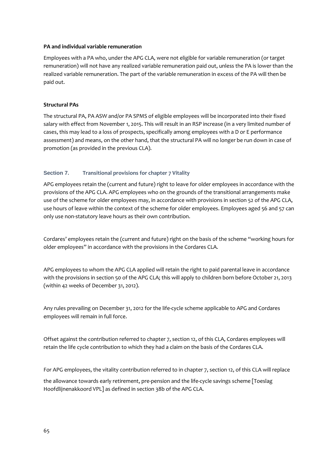#### **PA and individual variable remuneration**

Employees with a PA who, under the APG CLA, were not eligible for variable remuneration (or target remuneration) will not have any realized variable remuneration paid out, unless the PA is lower than the realized variable remuneration. The part of the variable remuneration in excess of the PA will then be paid out.

#### **Structural PAs**

The structural PA, PA ASW and/or PA SPMS of eligible employees will be incorporated into their fixed salary with effect from November 1, 2015. This will result in an RSP increase (in a very limited number of cases, this may lead to a loss of prospects, specifically among employees with a D or E performance assessment) and means, on the other hand, that the structural PA will no longer be run down in case of promotion (as provided in the previous CLA).

#### **Section 7. Transitional provisions for chapter 7 Vitality**

APG employees retain the (current and future) right to leave for older employees in accordance with the provisions of the APG CLA. APG employees who on the grounds of the transitional arrangements make use of the scheme for older employees may, in accordance with provisions in section 52 of the APG CLA, use hours of leave within the context of the scheme for older employees. Employees aged 56 and 57 can only use non-statutory leave hours as their own contribution.

Cordares' employees retain the (current and future) right on the basis of the scheme "working hours for older employees" in accordance with the provisions in the Cordares CLA.

APG employees to whom the APG CLA applied will retain the right to paid parental leave in accordance with the provisions in section 50 of the APG CLA; this will apply to children born before October 21, 2013 (within 42 weeks of December 31, 2012).

Any rules prevailing on December 31, 2012 for the life-cycle scheme applicable to APG and Cordares employees will remain in full force.

Offset against the contribution referred to chapter 7, section 12, of this CLA, Cordares employees will retain the life cycle contribution to which they had a claim on the basis of the Cordares CLA.

For APG employees, the vitality contribution referred to in chapter 7, section 12, of this CLA will replace

the allowance towards early retirement, pre-pension and the life-cycle savings scheme [Toeslag Hoofdlijnenakkoord VPL] as defined in section 38b of the APG CLA.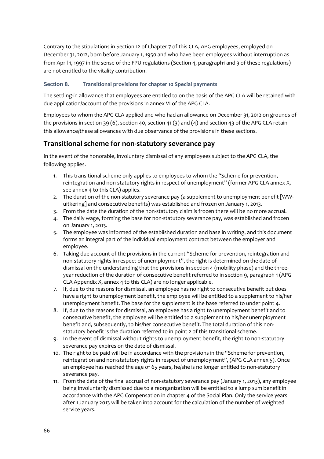Contrary to the stipulations in Section 12 of Chapter 7 of this CLA, APG employees, employed on December 31, 2012, born before January 1, 1950 and who have been employees without interruption as from April 1, 1997 in the sense of the FPU regulations (Section 4, paragraph1 and 3 of these regulations) are not entitled to the vitality contribution.

#### **Section 8. Transitional provisions for chapter 10 Special payments**

The settling-in allowance that employees are entitled to on the basis of the APG CLA will be retained with due application/account of the provisions in annex VI of the APG CLA.

Employees to whom the APG CLA applied and who had an allowance on December 31, 2012 on grounds of the provisions in section 39 (6), section 40, section 41 (3) and (4) and section 43 of the APG CLA retain this allowance/these allowances with due observance of the provisions in these sections.

### **Transitional scheme for non-statutory severance pay**

In the event of the honorable, involuntary dismissal of any employees subject to the APG CLA, the following applies.

- 1. This transitional scheme only applies to employees to whom the "Scheme for prevention, reintegration and non-statutory rights in respect of unemployment" (former APG CLA annex X, see annex 4 to this CLA) applies.
- 2. The duration of the non-statutory severance pay (a supplement to unemployment benefit [WWuitkering] and consecutive benefits) was established and frozen on January 1, 2013.
- 3. From the date the duration of the non-statutory claim is frozen there will be no more accrual.
- 4. The daily wage, forming the base for non-statutory severance pay, was established and frozen on January 1, 2013.
- 5. The employee was informed of the established duration and base in writing, and this document forms an integral part of the individual employment contract between the employer and employee.
- 6. Taking due account of the provisions in the current "Scheme for prevention, reintegration and non-statutory rights in respect of unemployment", the right is determined on the date of dismissal on the understanding that the provisions in section 4 (mobility phase) and the threeyear reduction of the duration of consecutive benefit referred to in section 9, paragraph 1 (APG CLA Appendix X, annex 4 to this CLA) are no longer applicable.
- 7. If, due to the reasons for dismissal, an employee has no right to consecutive benefit but does have a right to unemployment benefit, the employee will be entitled to a supplement to his/her unemployment benefit. The base for the supplement is the base referred to under point 4.
- 8. If, due to the reasons for dismissal, an employee has a right to unemployment benefit and to consecutive benefit, the employee will be entitled to a supplement to his/her unemployment benefit and, subsequently, to his/her consecutive benefit. The total duration of this nonstatutory benefit is the duration referred to in point 2 of this transitional scheme.
- 9. In the event of dismissal without rights to unemployment benefit, the right to non-statutory severance pay expires on the date of dismissal.
- 10. The right to be paid will be in accordance with the provisions in the "Scheme for prevention, reintegration and non-statutory rights in respect of unemployment", (APG CLA annex 5). Once an employee has reached the age of 65 years, he/she is no longer entitled to non-statutory severance pay.
- 11. From the date of the final accrual of non-statutory severance pay (January 1, 2013), any employee being involuntarily dismissed due to a reorganization will be entitled to a lump sum benefit in accordance with the APG Compensation in chapter 4 of the Social Plan. Only the service years after 1 January 2013 will be taken into account for the calculation of the number of weighted service years.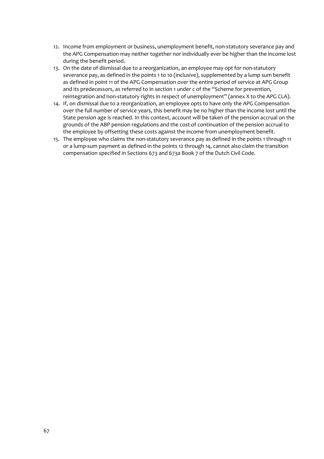- 12. Income from employment or business, unemployment benefit, non-statutory severance pay and the APG Compensation may neither together nor individually ever be higher than the income lost during the benefit period.
- 13. On the date of dismissal due to a reorganization, an employee may opt for non-statutory severance pay, as defined in the points 1 to 10 (inclusive), supplemented by a lump sum benefit as defined in point 11 of the APG Compensation over the entire period of service at APG Group and its predecessors, as referred to in section 1 under c of the "Scheme for prevention, reintegration and non-statutory rights in respect of unemployment" (annex X to the APG CLA).
- 14. If, on dismissal due to a reorganization, an employee opts to have only the APG Compensation over the full number of service years, this benefit may be no higher than the income lost until the State pension age is reached. In this context, account will be taken of the pension accrual on the grounds of the ABP pension regulations and the cost of continuation of the pension accrual to the employee by offsetting these costs against the income from unemployment benefit.
- 15. The employee who claims the non-statutory severance pay as defined in the points 1 through 11 or a lump-sum payment as defined in the points 12 through 14, cannot also claim the transition compensation specified in Sections 673 and 673a Book 7 of the Dutch Civil Code.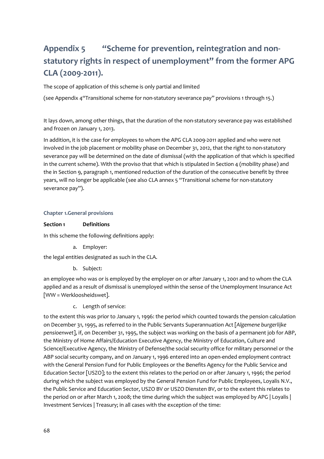# **Appendix 5 "Scheme for prevention, reintegration and nonstatutory rights in respect of unemployment" from the former APG CLA (2009-2011).**

The scope of application of this scheme is only partial and limited

(see Appendix 4"Transitional scheme for non-statutory severance pay" provisions 1 through 15.)

It lays down, among other things, that the duration of the non-statutory severance pay was established and frozen on January 1, 2013.

In addition, it is the case for employees to whom the APG CLA 2009-2011 applied and who were not involved in the job placement or mobility phase on December 31, 2012, that the right to non-statutory severance pay will be determined on the date of dismissal (with the application of that which is specified in the current scheme). With the proviso that that which is stipulated in Section 4 (mobility phase) and the in Section 9, paragraph 1, mentioned reduction of the duration of the consecutive benefit by three years, will no longer be applicable (see also CLA annex 5 "Transitional scheme for non-statutory severance pay").

#### **Chapter 1.General provisions**

#### **Section 1 Definitions**

In this scheme the following definitions apply:

a. Employer:

the legal entities designated as such in the CLA.

b. Subject:

an employee who was or is employed by the employer on or after January 1, 2001 and to whom the CLA applied and as a result of dismissal is unemployed within the sense of the Unemployment Insurance Act [WW = Werkloosheidswet].

c. Length of service:

to the extent this was prior to January 1, 1996: the period which counted towards the pension calculation on December 31, 1995, as referred to in the Public Servants Superannuation Act [*Algemene burgerlijke pensioenwet*], if, on December 31, 1995, the subject was working on the basis of a permanent job for ABP, the Ministry of Home Affairs/Education Executive Agency, the Ministry of Education, Culture and Science/Executive Agency, the Ministry of Defense/the social security office for military personnel or the ABP social security company, and on January 1, 1996 entered into an open-ended employment contract with the General Pension Fund for Public Employees or the Benefits Agency for the Public Service and Education Sector [USZO]; to the extent this relates to the period on or after January 1, 1996; the period during which the subject was employed by the General Pension Fund for Public Employees, Loyalis N.V., the Public Service and Education Sector, USZO BV or USZO Diensten BV, or to the extent this relates to the period on or after March 1, 2008; the time during which the subject was employed by APG | Loyalis | Investment Services | Treasury; in all cases with the exception of the time: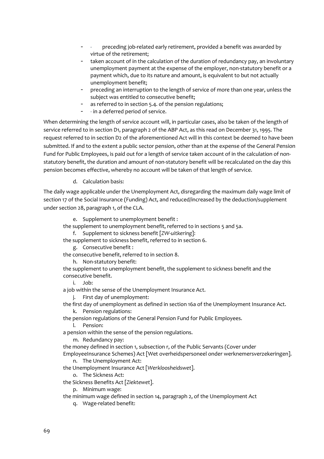- preceding job-related early retirement, provided a benefit was awarded by virtue of the retirement;
- taken account of in the calculation of the duration of redundancy pay, an involuntary unemployment payment at the expense of the employer, non-statutory benefit or a payment which, due to its nature and amount, is equivalent to but not actually unemployment benefit;
- preceding an interruption to the length of service of more than one year, unless the subject was entitled to consecutive benefit;
- as referred to in section 5.4. of the pension regulations;
- - in a deferred period of service.

When determining the length of service account will, in particular cases, also be taken of the length of service referred to in section D1, paragraph 2 of the ABP Act, as this read on December 31, 1995. The request referred to in section D2 of the aforementioned Act will in this context be deemed to have been submitted. If and to the extent a public sector pension, other than at the expense of the General Pension Fund for Public Employees, is paid out for a length of service taken account of in the calculation of nonstatutory benefit, the duration and amount of non-statutory benefit will be recalculated on the day this pension becomes effective, whereby no account will be taken of that length of service.

d. Calculation basis:

The daily wage applicable under the Unemployment Act, disregarding the maximum daily wage limit of section 17 of the Social Insurance (Funding) Act, and reduced/increased by the deduction/supplement under section 28, paragraph 1, of the CLA.

e. Supplement to unemployment benefit :

- the supplement to unemployment benefit, referred to in sections 5 and 5a.
	- f. Supplement to sickness benefit [*ZW-uitkering*]:

the supplement to sickness benefit, referred to in section 6.

g. Consecutive benefit :

the consecutive benefit, referred to in section 8.

h. Non-statutory benefit:

the supplement to unemployment benefit, the supplement to sickness benefit and the consecutive benefit.

i. Job:

a job within the sense of the Unemployment Insurance Act.

j. First day of unemployment:

the first day of unemployment as defined in section 16a of the Unemployment Insurance Act. k. Pension regulations:

the pension regulations of the General Pension Fund for Public Employees.

l. Pension:

a pension within the sense of the pension regulations.

m. Redundancy pay:

the money defined in section 1, subsection r, of the Public Servants (Cover under

EmployeeInsurance Schemes) Act [Wet overheidspersoneel onder werknemersverzekeringen].

n. The Unemployment Act:

the Unemployment Insurance Act [*Werkloosheidswet*].

o. The Sickness Act:

the Sickness Benefits Act [*Ziektewet*].

p. Minimum wage:

the minimum wage defined in section 14, paragraph 2, of the Unemployment Act

q. Wage-related benefit: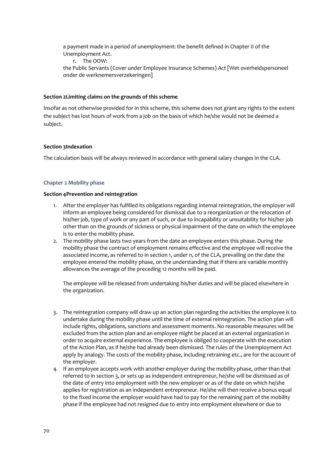a payment made in a period of unemployment: the benefit defined in Chapter II of the Unemployment Act.

r. The OOW:

the Public Servants (Cover under Employee Insurance Schemes) Act [Wet overheidspersoneel onder de werknemersverzekeringen]

#### **Section 2Limiting claims on the grounds of this scheme**

Insofar as not otherwise provided for in this scheme, this scheme does not grant any rights to the extent the subject has lost hours of work from a job on the basis of which he/she would not be deemed a subject.

#### **Section 3Indexation**

The calculation basis will be always reviewed in accordance with general salary changes in the CLA.

#### **Chapter 2 Mobility phase**

#### **Section 4Prevention and reintegration**

- 1. After the employer has fulfilled its obligations regarding internal reintegration, the employer will inform an employee being considered for dismissal due to a reorganization or the relocation of his/her job, type of work or any part of such, or due to incapability or unsuitability for his/her job other than on the grounds of sickness or physical impairment of the date on which the employee is to enter the mobility phase.
- 2. The mobility phase lasts two years from the date an employee enters this phase. During the mobility phase the contract of employment remains effective and the employee will receive the associated income, as referred to in section 1, under n, of the CLA, prevailing on the date the employee entered the mobility phase, on the understanding that if there are variable monthly allowances the average of the preceding 12 months will be paid.

The employee will be released from undertaking his/her duties and will be placed elsewhere in the organization.

- 3. The reintegration company will draw up an action plan regarding the activities the employee is to undertake during the mobility phase until the time of external reintegration. The action plan will include rights, obligations, sanctions and assessment moments. No reasonable measures will be excluded from the action plan and an employee might be placed at an external organization in order to acquire external experience. The employee is obliged to cooperate with the execution of the Action Plan, as if he/she had already been dismissed. The rules of the Unemployment Act apply by analogy. The costs of the mobility phase, including retraining etc., are for the account of the employer.
- 4. If an employee accepts work with another employer during the mobility phase, other than that referred to in section 3, or sets up as independent entrepreneur, he/she will be dismissed as of the date of entry into employment with the new employer or as of the date on which he/she applies for registration as an independent entrepreneur. He/she will then receive a bonus equal to the fixed income the employer would have had to pay for the remaining part of the mobility phase if the employee had not resigned due to entry into employment elsewhere or due to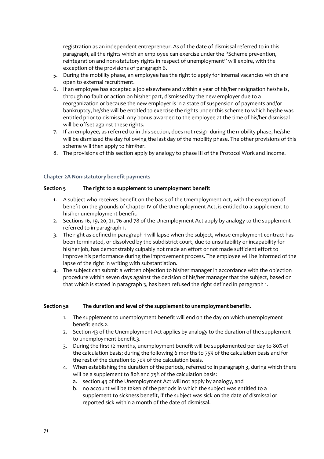registration as an independent entrepreneur. As of the date of dismissal referred to in this paragraph, all the rights which an employee can exercise under the "Scheme prevention, reintegration and non-statutory rights in respect of unemployment" will expire, with the exception of the provisions of paragraph 6.

- 5. During the mobility phase, an employee has the right to apply for internal vacancies which are open to external recruitment.
- 6. If an employee has accepted a job elsewhere and within a year of his/her resignation he/she is, through no fault or action on his/her part, dismissed by the new employer due to a reorganization or because the new employer is in a state of suspension of payments and/or bankruptcy, he/she will be entitled to exercise the rights under this scheme to which he/she was entitled prior to dismissal. Any bonus awarded to the employee at the time of his/her dismissal will be offset against these rights.
- 7. If an employee, as referred to in this section, does not resign during the mobility phase, he/she will be dismissed the day following the last day of the mobility phase. The other provisions of this scheme will then apply to him/her.
- 8. The provisions of this section apply by analogy to phase III of the Protocol Work and Income.

#### **Chapter 2A Non-statutory benefit payments**

#### **Section 5 The right to a supplement to unemployment benefit**

- 1. A subject who receives benefit on the basis of the Unemployment Act, with the exception of benefit on the grounds of Chapter IV of the Unemployment Act, is entitled to a supplement to his/her unemployment benefit.
- 2. Sections 16, 19, 20, 21, 76 and 78 of the Unemployment Act apply by analogy to the supplement referred to in paragraph 1.
- 3. The right as defined in paragraph 1 will lapse when the subject, whose employment contract has been terminated, or dissolved by the subdistrict court, due to unsuitability or incapability for his/her job, has demonstrably culpably not made an effort or not made sufficient effort to improve his performance during the improvement process. The employee will be informed of the lapse of the right in writing with substantiation.
- 4. The subject can submit a written objection to his/her manager in accordance with the objection procedure within seven days against the decision of his/her manager that the subject, based on that which is stated in paragraph 3, has been refused the right defined in paragraph 1.

#### **Section 5a The duration and level of the supplement to unemployment benefit1.**

- 1. The supplement to unemployment benefit will end on the day on which unemployment benefit ends.2.
- 2. Section 43 of the Unemployment Act applies by analogy to the duration of the supplement to unemployment benefit.3.
- 3. During the first 12 months, unemployment benefit will be supplemented per day to 80% of the calculation basis; during the following 6 months to 75% of the calculation basis and for the rest of the duration to 70% of the calculation basis.
- 4. When establishing the duration of the periods, referred to in paragraph 3, during which there will be a supplement to 80% and 75% of the calculation basis:
	- a. section 43 of the Unemployment Act will not apply by analogy, and
	- b. no account will be taken of the periods in which the subject was entitled to a supplement to sickness benefit, if the subject was sick on the date of dismissal or reported sick within a month of the date of dismissal.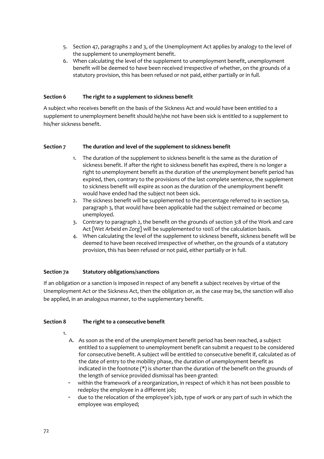- 5. Section 47, paragraphs 2 and 3, of the Unemployment Act applies by analogy to the level of the supplement to unemployment benefit.
- 6. When calculating the level of the supplement to unemployment benefit, unemployment benefit will be deemed to have been received irrespective of whether, on the grounds of a statutory provision, this has been refused or not paid, either partially or in full.

#### **Section 6 The right to a supplement to sickness benefit**

A subject who receives benefit on the basis of the Sickness Act and would have been entitled to a supplement to unemployment benefit should he/she not have been sick is entitled to a supplement to his/her sickness benefit.

#### **Section 7 The duration and level of the supplement to sickness benefit**

- 1. The duration of the supplement to sickness benefit is the same as the duration of sickness benefit. If after the right to sickness benefit has expired, there is no longer a right to unemployment benefit as the duration of the unemployment benefit period has expired, then, contrary to the provisions of the last complete sentence, the supplement to sickness benefit will expire as soon as the duration of the unemployment benefit would have ended had the subject not been sick.
- 2. The sickness benefit will be supplemented to the percentage referred to in section 5a, paragraph 3, that would have been applicable had the subject remained or become unemployed.
- 3. Contrary to paragraph 2, the benefit on the grounds of section 3:8 of the Work and care Act [*Wet Arbeid en Zorg*] will be supplemented to 100% of the calculation basis.
- 4. When calculating the level of the supplement to sickness benefit, sickness benefit will be deemed to have been received irrespective of whether, on the grounds of a statutory provision, this has been refused or not paid, either partially or in full.

#### **Section 7a Statutory obligations/sanctions**

If an obligation or a sanction is imposed in respect of any benefit a subject receives by virtue of the Unemployment Act or the Sickness Act, then the obligation or, as the case may be, the sanction will also be applied, in an analogous manner, to the supplementary benefit.

#### **Section 8 The right to a consecutive benefit**

- 1.
	- A. As soon as the end of the unemployment benefit period has been reached, a subject entitled to a supplement to unemployment benefit can submit a request to be considered for consecutive benefit. A subject will be entitled to consecutive benefit if, calculated as of the date of entry to the mobility phase, the duration of unemployment benefit as indicated in the footnote (\*) is shorter than the duration of the benefit on the grounds of the length of service provided dismissal has been granted:
	- within the framework of a reorganization, in respect of which it has not been possible to redeploy the employee in a different job;
	- due to the relocation of the employee's job, type of work or any part of such in which the employee was employed;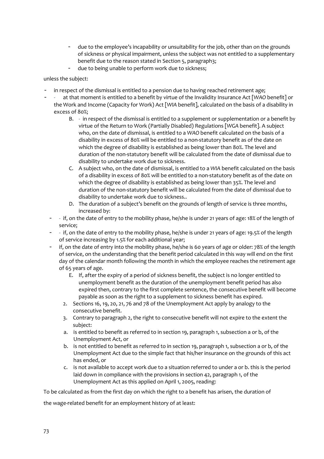- due to the employee's incapability or unsuitability for the job, other than on the grounds of sickness or physical impairment, unless the subject was not entitled to a supplementary benefit due to the reason stated in Section 5, paragraph3;
- due to being unable to perform work due to sickness;

unless the subject:

- in respect of the dismissal is entitled to a pension due to having reached retirement age;
- - at that moment is entitled to a benefit by virtue of the Invalidity Insurance Act [*WAO* benefit] or the Work and Income (Capacity for Work) Act [*WIA* benefit], calculated on the basis of a disability in excess of 80%;
	- B. in respect of the dismissal is entitled to a supplement or supplementation or a benefit by virtue of the Return to Work (Partially Disabled) Regulations [*WGA* benefit]. A subject who, on the date of dismissal, is entitled to a *WAO* benefit calculated on the basis of a disability in excess of 80% will be entitled to a non-statutory benefit as of the date on which the degree of disability is established as being lower than 80%. The level and duration of the non-statutory benefit will be calculated from the date of dismissal due to disability to undertake work due to sickness.
	- C. A subject who, on the date of dismissal, is entitled to a *WIA* benefit calculated on the basis of a disability in excess of 80% will be entitled to a non-statutory benefit as of the date on which the degree of disability is established as being lower than 35%. The level and duration of the non-statutory benefit will be calculated from the date of dismissal due to disability to undertake work due to sickness..
	- D. The duration of a subject's benefit on the grounds of length of service is three months, increased by:
	- - if, on the date of entry to the mobility phase, he/she is under 21 years of age: 18% of the length of service;
	- if, on the date of entry to the mobility phase, he/she is under 21 years of age: 19.5% of the length of service increasing by 1.5% for each additional year;
	- if, on the date of entry into the mobility phase, he/she is 60 years of age or older: 78% of the length of service, on the understanding that the benefit period calculated in this way will end on the first day of the calendar month following the month in which the employee reaches the retirement age of 65 years of age.
		- E. If, after the expiry of a period of sickness benefit, the subject is no longer entitled to unemployment benefit as the duration of the unemployment benefit period has also expired then, contrary to the first complete sentence, the consecutive benefit will become payable as soon as the right to a supplement to sickness benefit has expired.
		- 2. Sections 16, 19, 20, 21, 76 and 78 of the Unemployment Act apply by analogy to the consecutive benefit.
		- 3. Contrary to paragraph 2, the right to consecutive benefit will not expire to the extent the subject:
		- a. is entitled to benefit as referred to in section 19, paragraph 1, subsection a or b, of the Unemployment Act, or
		- b. is not entitled to benefit as referred to in section 19, paragraph 1, subsection a or b, of the Unemployment Act due to the simple fact that his/her insurance on the grounds of this act has ended, or
		- c. is not available to accept work due to a situation referred to under a or b. this is the period laid down in compliance with the provisions in section 42, paragraph 1, of the Unemployment Act as this applied on April 1, 2005, reading:

To be calculated as from the first day on which the right to a benefit has arisen, the duration of

the wage-related benefit for an employment history of at least: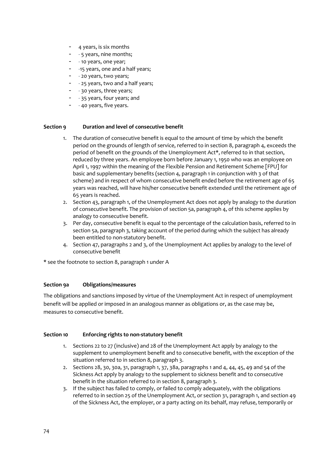- 4 years, is six months
- - 5 years, nine months;
- - 10 years, one year;
- -15 years, one and a half years;
- 20 years, two years;
- - 25 years, two and a half years;
- - 30 years, three years;
- - 35 years, four years; and
- - 40 years, five years.

#### **Section 9 Duration and level of consecutive benefit**

- 1. The duration of consecutive benefit is equal to the amount of time by which the benefit period on the grounds of length of service, referred to in section 8, paragraph 4, exceeds the period of benefit on the grounds of the Unemployment Act\*, referred to in that section, reduced by three years. An employee born before January 1, 1950 who was an employee on April 1, 1997 within the meaning of the Flexible Pension and Retirement Scheme [FPU] for basic and supplementary benefits (section 4, paragraph 1 in conjunction with 3 of that scheme) and in respect of whom consecutive benefit ended before the retirement age of 65 years was reached, will have his/her consecutive benefit extended until the retirement age of 65 years is reached.
- 2. Section 43, paragraph 1, of the Unemployment Act does not apply by analogy to the duration of consecutive benefit. The provision of section 5a, paragraph 4, of this scheme applies by analogy to consecutive benefit.
- 3. Per day, consecutive benefit is equal to the percentage of the calculation basis, referred to in section 5a, paragraph 3, taking account of the period during which the subject has already been entitled to non-statutory benefit.
- 4. Section 47, paragraphs 2 and 3, of the Unemployment Act applies by analogy to the level of consecutive benefit

\* see the footnote to section 8, paragraph 1 under A

### **Section 9a Obligations/measures**

The obligations and sanctions imposed by virtue of the Unemployment Act in respect of unemployment benefit will be applied or imposed in an analogous manner as obligations or, as the case may be, measures to consecutive benefit.

#### **Section 10 Enforcing rights to non-statutory benefit**

- 1. Sections 22 to 27 (inclusive) and 28 of the Unemployment Act apply by analogy to the supplement to unemployment benefit and to consecutive benefit, with the exception of the situation referred to in section 8, paragraph 3.
- 2. Sections 28, 30, 30a, 31, paragraph 1, 37, 38a, paragraphs 1 and 4, 44, 45, 49 and 54 of the Sickness Act apply by analogy to the supplement to sickness benefit and to consecutive benefit in the situation referred to in section 8, paragraph 3.
- 3. If the subject has failed to comply, or failed to comply adequately, with the obligations referred to in section 25 of the Unemployment Act, or section 31, paragraph 1, and section 49 of the Sickness Act, the employer, or a party acting on its behalf, may refuse, temporarily or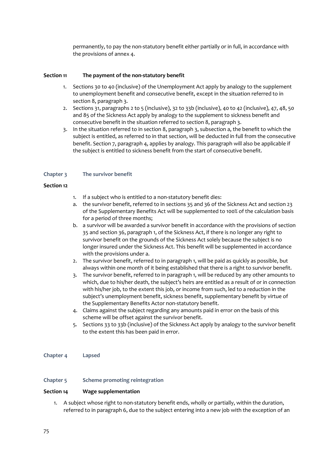permanently, to pay the non-statutory benefit either partially or in full, in accordance with the provisions of annex 4.

#### **Section 11 The payment of the non-statutory benefit**

- 1. Sections 30 to 40 (inclusive) of the Unemployment Act apply by analogy to the supplement to unemployment benefit and consecutive benefit, except in the situation referred to in section 8, paragraph 3.
- 2. Sections 31, paragraphs 2 to 5 (inclusive), 32 to 33b (inclusive), 40 to 42 (inclusive), 47, 48, 50 and 85 of the Sickness Act apply by analogy to the supplement to sickness benefit and consecutive benefit in the situation referred to section 8, paragraph 3.
- 3. In the situation referred to in section 8, paragraph 3, subsection a, the benefit to which the subject is entitled, as referred to in that section, will be deducted in full from the consecutive benefit. Section 7, paragraph 4, applies by analogy. This paragraph will also be applicable if the subject is entitled to sickness benefit from the start of consecutive benefit.

#### **Chapter 3 The survivor benefit**

#### **Section 12**

- 1. If a subject who is entitled to a non-statutory benefit dies:
- a. the survivor benefit, referred to in sections 35 and 36 of the Sickness Act and section 23 of the Supplementary Benefits Act will be supplemented to 100% of the calculation basis for a period of three months;
- b. a survivor will be awarded a survivor benefit in accordance with the provisions of section 35 and section 36, paragraph 1, of the Sickness Act, if there is no longer any right to survivor benefit on the grounds of the Sickness Act solely because the subject is no longer insured under the Sickness Act. This benefit will be supplemented in accordance with the provisions under a.
- 2. The survivor benefit, referred to in paragraph 1, will be paid as quickly as possible, but always within one month of it being established that there is a right to survivor benefit.
- 3. The survivor benefit, referred to in paragraph 1, will be reduced by any other amounts to which, due to his/her death, the subject's heirs are entitled as a result of or in connection with his/her job, to the extent this job, or income from such, led to a reduction in the subject's unemployment benefit, sickness benefit, supplementary benefit by virtue of the Supplementary Benefits Actor non-statutory benefit.
- 4. Claims against the subject regarding any amounts paid in error on the basis of this scheme will be offset against the survivor benefit.
- 5. Sections 33 to 33b (inclusive) of the Sickness Act apply by analogy to the survivor benefit to the extent this has been paid in error.

#### **Chapter 4 Lapsed**

#### **Chapter 5 Scheme promoting reintegration**

#### **Section 14 Wage supplementation**

1. A subject whose right to non-statutory benefit ends, wholly or partially, within the duration, referred to in paragraph 6, due to the subject entering into a new job with the exception of an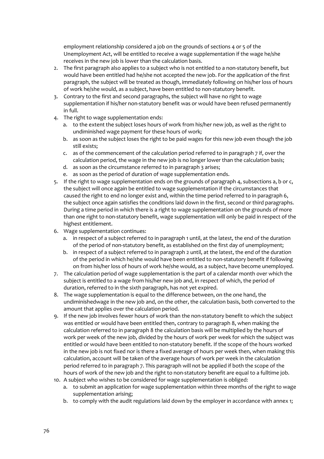employment relationship considered a job on the grounds of sections 4 or 5 of the Unemployment Act, will be entitled to receive a wage supplementation if the wage he/she receives in the new job is lower than the calculation basis.

- 2. The first paragraph also applies to a subject who is not entitled to a non-statutory benefit, but would have been entitled had he/she not accepted the new job. For the application of the first paragraph, the subject will be treated as though, immediately following on his/her loss of hours of work he/she would, as a subject, have been entitled to non-statutory benefit.
- 3. Contrary to the first and second paragraphs, the subject will have no right to wage supplementation if his/her non-statutory benefit was or would have been refused permanently in full.
- 4. The right to wage supplementation ends:
	- a. to the extent the subject loses hours of work from his/her new job, as well as the right to undiminished wage payment for these hours of work;
	- b. as soon as the subject loses the right to be paid wages for this new job even though the job still exists;
	- c. as of the commencement of the calculation period referred to in paragraph 7 if, over the calculation period, the wage in the new job is no longer lower than the calculation basis;
	- d. as soon as the circumstance referred to in paragraph 3 arises;
	- e. as soon as the period of duration of wage supplementation ends.
- 5. If the right to wage supplementation ends on the grounds of paragraph 4, subsections a, b or c, the subject will once again be entitled to wage supplementation if the circumstances that caused the right to end no longer exist and, within the time period referred to in paragraph 6, the subject once again satisfies the conditions laid down in the first, second or third paragraphs. During a time period in which there is a right to wage supplementation on the grounds of more than one right to non-statutory benefit, wage supplementation will only be paid in respect of the highest entitlement.
- 6. Wage supplementation continues:
	- a. in respect of a subject referred to in paragraph 1 until, at the latest, the end of the duration of the period of non-statutory benefit, as established on the first day of unemployment;
	- b. in respect of a subject referred to in paragraph 2 until, at the latest, the end of the duration of the period in which he/she would have been entitled to non-statutory benefit if following on from his/her loss of hours of work he/she would, as a subject, have become unemployed.
- 7. The calculation period of wage supplementation is the part of a calendar month over which the subject is entitled to a wage from his/her new job and, in respect of which, the period of duration, referred to in the sixth paragraph, has not yet expired.
- 8. The wage supplementation is equal to the difference between, on the one hand, the undiminishedwage in the new job and, on the other, the calculation basis, both converted to the amount that applies over the calculation period.
- 9. If the new job involves fewer hours of work than the non-statutory benefit to which the subject was entitled or would have been entitled then, contrary to paragraph 8, when making the calculation referred to in paragraph 8 the calculation basis will be multiplied by the hours of work per week of the new job, divided by the hours of work per week for which the subject was entitled or would have been entitled to non-statutory benefit. If the scope of the hours worked in the new job is not fixed nor is there a fixed average of hours per week then, when making this calculation, account will be taken of the average hours of work per week in the calculation period referred to in paragraph 7. This paragraph will not be applied if both the scope of the hours of work of the new job and the right to non-statutory benefit are equal to a fulltime job.
- 10. A subject who wishes to be considered for wage supplementation is obliged:
	- a. to submit an application for wage supplementation within three months of the right to wage supplementation arising;
	- b. to comply with the audit regulations laid down by the employer in accordance with annex 1;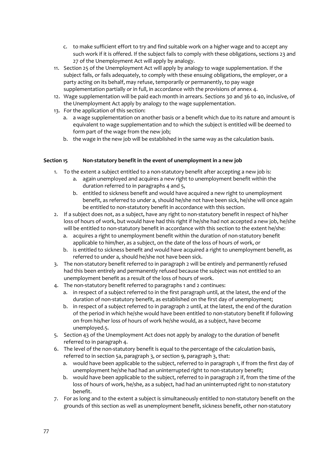- c. to make sufficient effort to try and find suitable work on a higher wage and to accept any such work if it is offered. If the subject fails to comply with these obligations, sections 23 and 27 of the Unemployment Act will apply by analogy.
- 11. Section 25 of the Unemployment Act will apply by analogy to wage supplementation. If the subject fails, or fails adequately, to comply with these ensuing obligations, the employer, or a party acting on its behalf, may refuse, temporarily or permanently, to pay wage supplementation partially or in full, in accordance with the provisions of annex 4.
- 12. Wage supplementation will be paid each month in arrears. Sections 30 and 36 to 40, inclusive, of the Unemployment Act apply by analogy to the wage supplementation.
- 13. For the application of this section:
	- a. a wage supplementation on another basis or a benefit which due to its nature and amount is equivalent to wage supplementation and to which the subject is entitled will be deemed to form part of the wage from the new job;
	- b. the wage in the new job will be established in the same way as the calculation basis.

#### **Section 15 Non-statutory benefit in the event of unemployment in a new job**

- 1. To the extent a subject entitled to a non-statutory benefit after accepting a new job is:
	- a. again unemployed and acquires a new right to unemployment benefit within the duration referred to in paragraphs 4 and 5,
	- b. entitled to sickness benefit and would have acquired a new right to unemployment benefit, as referred to under a, should he/she not have been sick, he/she will once again be entitled to non-statutory benefit in accordance with this section.
- 2. If a subject does not, as a subject, have any right to non-statutory benefit in respect of his/her loss of hours of work, but would have had this right if he/she had not accepted a new job, he/she will be entitled to non-statutory benefit in accordance with this section to the extent he/she:
	- a. acquires a right to unemployment benefit within the duration of non-statutory benefit applicable to him/her, as a subject, on the date of the loss of hours of work, or
	- b. is entitled to sickness benefit and would have acquired a right to unemployment benefit, as referred to under a, should he/she not have been sick.
- 3. The non-statutory benefit referred to in paragraph 2 will be entirely and permanently refused had this been entirely and permanently refused because the subject was not entitled to an unemployment benefit as a result of the loss of hours of work.
- 4. The non-statutory benefit referred to paragraphs 1 and 2 continues:
	- a. in respect of a subject referred to in the first paragraph until, at the latest, the end of the duration of non-statutory benefit, as established on the first day of unemployment;
	- b. in respect of a subject referred to in paragraph 2 until, at the latest, the end of the duration of the period in which he/she would have been entitled to non-statutory benefit if following on from his/her loss of hours of work he/she would, as a subject, have become unemployed.5.
- 5. Section 43 of the Unemployment Act does not apply by analogy to the duration of benefit referred to in paragraph 4.
- 6. The level of the non-statutory benefit is equal to the percentage of the calculation basis, referred to in section 5a, paragraph 3, or section 9, paragraph 3, that:
	- a. would have been applicable to the subject, referred to in paragraph 1, if from the first day of unemployment he/she had had an uninterrupted right to non-statutory benefit;
	- b. would have been applicable to the subject, referred to in paragraph 2 if, from the time of the loss of hours of work, he/she, as a subject, had had an uninterrupted right to non-statutory benefit.
- 7. For as long and to the extent a subject is simultaneously entitled to non-statutory benefit on the grounds of this section as well as unemployment benefit, sickness benefit, other non-statutory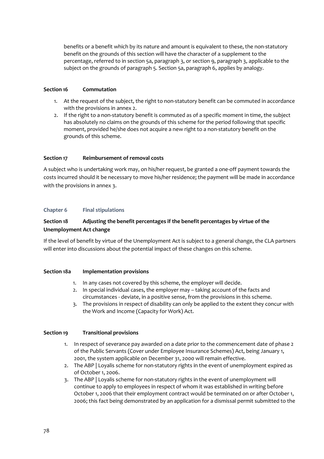benefits or a benefit which by its nature and amount is equivalent to these, the non-statutory benefit on the grounds of this section will have the character of a supplement to the percentage, referred to in section 5a, paragraph 3, or section 9, paragraph 3, applicable to the subject on the grounds of paragraph 5. Section 5a, paragraph 6, applies by analogy.

#### **Section 16 Commutation**

- 1. At the request of the subject, the right to non-statutory benefit can be commuted in accordance with the provisions in annex 2.
- 2. If the right to a non-statutory benefit is commuted as of a specific moment in time, the subject has absolutely no claims on the grounds of this scheme for the period following that specific moment, provided he/she does not acquire a new right to a non-statutory benefit on the grounds of this scheme.

#### **Section 17 Reimbursement of removal costs**

A subject who is undertaking work may, on his/her request, be granted a one-off payment towards the costs incurred should it be necessary to move his/her residence; the payment will be made in accordance with the provisions in annex 3.

#### **Chapter 6 Final stipulations**

### **Section 18 Adjusting the benefit percentages if the benefit percentages by virtue of the Unemployment Act change**

If the level of benefit by virtue of the Unemployment Act is subject to a general change, the CLA partners will enter into discussions about the potential impact of these changes on this scheme.

#### **Section 18a Implementation provisions**

- 1. In any cases not covered by this scheme, the employer will decide.
- 2. In special individual cases, the employer may taking account of the facts and circumstances - deviate, in a positive sense, from the provisions in this scheme.
- 3. The provisions in respect of disability can only be applied to the extent they concur with the Work and Income (Capacity for Work) Act.

#### **Section 19 Transitional provisions**

- 1. In respect of severance pay awarded on a date prior to the commencement date of phase 2 of the Public Servants (Cover under Employee Insurance Schemes) Act, being January 1, 2001, the system applicable on December 31, 2000 will remain effective.
- 2. The ABP | Loyalis scheme for non-statutory rights in the event of unemployment expired as of October 1, 2006.
- 3. The ABP | Loyalis scheme for non-statutory rights in the event of unemployment will continue to apply to employees in respect of whom it was established in writing before October 1, 2006 that their employment contract would be terminated on or after October 1, 2006; this fact being demonstrated by an application for a dismissal permit submitted to the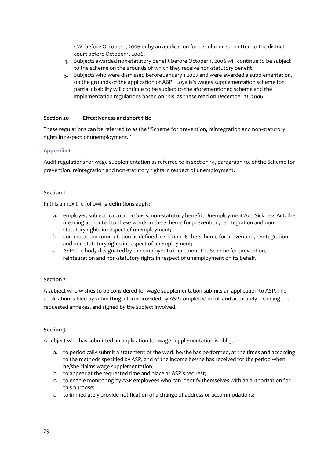CWI before October 1, 2006 or by an application for dissolution submitted to the district court before October 1, 2006.

- 4. Subjects awarded non-statutory benefit before October 1, 2006 will continue to be subject to the scheme on the grounds of which they receive non-statutory benefit.
- 5. Subjects who were dismissed before January 1 2007 and were awarded a supplementation, on the grounds of the application of ABP | Loyalis's wages supplementation scheme for partial disability will continue to be subject to the aforementioned scheme and the implementation regulations based on this, as these read on December 31, 2006.

#### **Section 20 Effectiveness and short title**

These regulations can be referred to as the "Scheme for prevention, reintegration and non-statutory rights in respect of unemployment."

#### **Appendix 1**

Audit regulations for wage supplementation as referred to in section 14, paragraph 10, of the Scheme for prevention, reintegration and non-statutory rights in respect of unemployment.

#### **Section 1**

In this annex the following definitions apply:

- a. employer, subject, calculation basis, non-statutory benefit, Unemployment Act, Sickness Act: the meaning attributed to these words in the Scheme for prevention, reintegration and nonstatutory rights in respect of unemployment;
- b. commutation: commutation as defined in section 16 the Scheme for prevention, reintegration and non-statutory rights in respect of unemployment;
- c. ASP: the body designated by the employer to implement the Scheme for prevention, reintegration and non-statutory rights in respect of unemployment on its behalf.

#### **Section 2**

A subject who wishes to be considered for wage supplementation submits an application to ASP. The application is filed by submitting a form provided by ASP completed in full and accurately including the requested annexes, and signed by the subject involved.

#### **Section 3**

A subject who has submitted an application for wage supplementation is obliged:

- a. to periodically submit a statement of the work he/she has performed, at the times and according to the methods specified by ASP, and of the income he/she has received for the period when he/she claims wage supplementation;
- b. to appear at the requested time and place at ASP's request;
- c. to enable monitoring by ASP employees who can identify themselves with an authorization for this purpose;
- d. to immediately provide notification of a change of address or accommodations;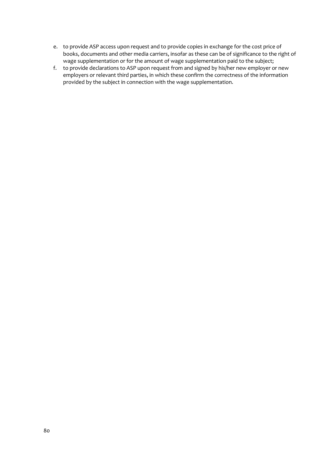- e. to provide ASP access upon request and to provide copies in exchange for the cost price of books, documents and other media carriers, insofar as these can be of significance to the right of wage supplementation or for the amount of wage supplementation paid to the subject;
- f. to provide declarations to ASP upon request from and signed by his/her new employer or new employers or relevant third parties, in which these confirm the correctness of the information provided by the subject in connection with the wage supplementation.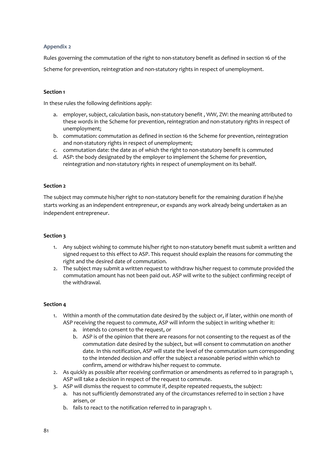#### **Appendix 2**

Rules governing the commutation of the right to non-statutory benefit as defined in section 16 of the

Scheme for prevention, reintegration and non-statutory rights in respect of unemployment.

#### **Section 1**

In these rules the following definitions apply:

- a. employer, subject, calculation basis, non-statutory benefit , WW, ZW: the meaning attributed to these words in the Scheme for prevention, reintegration and non-statutory rights in respect of unemployment;
- b. commutation: commutation as defined in section 16 the Scheme for prevention, reintegration and non-statutory rights in respect of unemployment;
- c. commutation date: the date as of which the right to non-statutory benefit is commuted
- d. ASP: the body designated by the employer to implement the Scheme for prevention, reintegration and non-statutory rights in respect of unemployment on its behalf.

#### **Section 2**

The subject may commute his/her right to non-statutory benefit for the remaining duration if he/she starts working as an independent entrepreneur, or expands any work already being undertaken as an independent entrepreneur.

#### **Section 3**

- 1. Any subject wishing to commute his/her right to non-statutory benefit must submit a written and signed request to this effect to ASP. This request should explain the reasons for commuting the right and the desired date of commutation.
- 2. The subject may submit a written request to withdraw his/her request to commute provided the commutation amount has not been paid out. ASP will write to the subject confirming receipt of the withdrawal.

- 1. Within a month of the commutation date desired by the subject or, if later, within one month of ASP receiving the request to commute, ASP will inform the subject in writing whether it:
	- a. intends to consent to the request, or
	- b. ASP is of the opinion that there are reasons for not consenting to the request as of the commutation date desired by the subject, but will consent to commutation on another date. In this notification, ASP will state the level of the commutation sum corresponding to the intended decision and offer the subject a reasonable period within which to confirm, amend or withdraw his/her request to commute.
- 2. As quickly as possible after receiving confirmation or amendments as referred to in paragraph 1, ASP will take a decision in respect of the request to commute.
- 3. ASP will dismiss the request to commute if, despite repeated requests, the subject:
	- a. has not sufficiently demonstrated any of the circumstances referred to in section 2 have arisen, or
	- b. fails to react to the notification referred to in paragraph 1.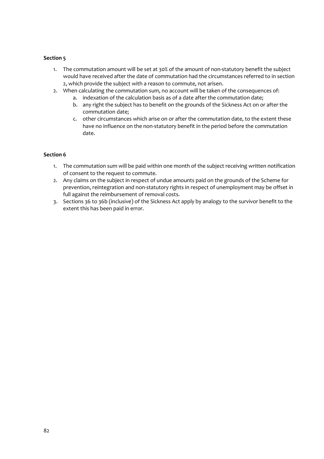#### **Section 5**

- 1. The commutation amount will be set at 30% of the amount of non-statutory benefit the subject would have received after the date of commutation had the circumstances referred to in section 2, which provide the subject with a reason to commute, not arisen.
- 2. When calculating the commutation sum, no account will be taken of the consequences of:
	- a. indexation of the calculation basis as of a date after the commutation date;
	- b. any right the subject has to benefit on the grounds of the Sickness Act on or after the commutation date;
	- c. other circumstances which arise on or after the commutation date, to the extent these have no influence on the non-statutory benefit in the period before the commutation date.

- 1. The commutation sum will be paid within one month of the subject receiving written notification of consent to the request to commute.
- 2. Any claims on the subject in respect of undue amounts paid on the grounds of the Scheme for prevention, reintegration and non-statutory rights in respect of unemployment may be offset in full against the reimbursement of removal costs.
- 3. Sections 36 to 36b (inclusive) of the Sickness Act apply by analogy to the survivor benefit to the extent this has been paid in error.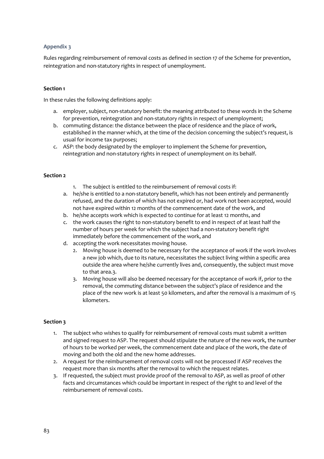#### **Appendix 3**

Rules regarding reimbursement of removal costs as defined in section 17 of the Scheme for prevention, reintegration and non-statutory rights in respect of unemployment.

#### **Section 1**

In these rules the following definitions apply:

- a. employer, subject, non-statutory benefit: the meaning attributed to these words in the Scheme for prevention, reintegration and non-statutory rights in respect of unemployment;
- b. commuting distance: the distance between the place of residence and the place of work, established in the manner which, at the time of the decision concerning the subject's request, is usual for income tax purposes;
- c. ASP: the body designated by the employer to implement the Scheme for prevention, reintegration and non-statutory rights in respect of unemployment on its behalf.

#### **Section 2**

- 1. The subject is entitled to the reimbursement of removal costs if:
- a. he/she is entitled to a non-statutory benefit, which has not been entirely and permanently refused, and the duration of which has not expired or, had work not been accepted, would not have expired within 12 months of the commencement date of the work, and
- b. he/she accepts work which is expected to continue for at least 12 months, and
- c. the work causes the right to non-statutory benefit to end in respect of at least half the number of hours per week for which the subject had a non-statutory benefit right immediately before the commencement of the work, and
- d. accepting the work necessitates moving house.
	- 2. Moving house is deemed to be necessary for the acceptance of work if the work involves a new job which, due to its nature, necessitates the subject living within a specific area outside the area where he/she currently lives and, consequently, the subject must move to that area.3.
	- 3. Moving house will also be deemed necessary for the acceptance of work if, prior to the removal, the commuting distance between the subject's place of residence and the place of the new work is at least 50 kilometers, and after the removal is a maximum of 15 kilometers.

- 1. The subject who wishes to qualify for reimbursement of removal costs must submit a written and signed request to ASP. The request should stipulate the nature of the new work, the number of hours to be worked per week, the commencement date and place of the work, the date of moving and both the old and the new home addresses.
- 2. A request for the reimbursement of removal costs will not be processed if ASP receives the request more than six months after the removal to which the request relates.
- 3. If requested, the subject must provide proof of the removal to ASP, as well as proof of other facts and circumstances which could be important in respect of the right to and level of the reimbursement of removal costs.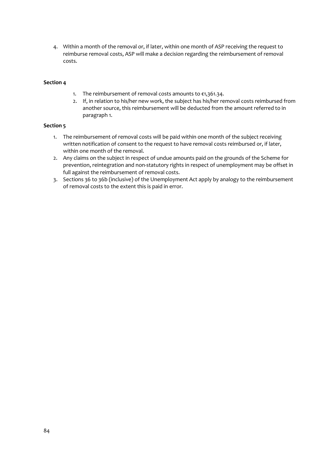4. Within a month of the removal or, if later, within one month of ASP receiving the request to reimburse removal costs, ASP will make a decision regarding the reimbursement of removal costs.

#### **Section 4**

- 1. The reimbursement of removal costs amounts to €1,361.34.
- 2. If, in relation to his/her new work, the subject has his/her removal costs reimbursed from another source, this reimbursement will be deducted from the amount referred to in paragraph 1.

- 1. The reimbursement of removal costs will be paid within one month of the subject receiving written notification of consent to the request to have removal costs reimbursed or, if later, within one month of the removal.
- 2. Any claims on the subject in respect of undue amounts paid on the grounds of the Scheme for prevention, reintegration and non-statutory rights in respect of unemployment may be offset in full against the reimbursement of removal costs.
- 3. Sections 36 to 36b (inclusive) of the Unemployment Act apply by analogy to the reimbursement of removal costs to the extent this is paid in error.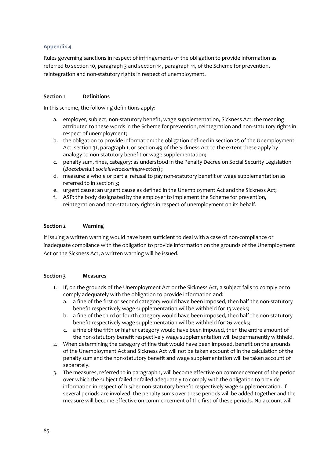### **Appendix 4**

Rules governing sanctions in respect of infringements of the obligation to provide information as referred to section 10, paragraph 3 and section 14, paragraph 11, of the Scheme for prevention, reintegration and non-statutory rights in respect of unemployment.

### **Section 1 Definitions**

In this scheme, the following definitions apply:

- a. employer, subject, non-statutory benefit, wage supplementation, Sickness Act: the meaning attributed to these words in the Scheme for prevention, reintegration and non-statutory rights in respect of unemployment;
- b. the obligation to provide information: the obligation defined in section 25 of the Unemployment Act, section 31, paragraph 1, or section 49 of the Sickness Act to the extent these apply by analogy to non-statutory benefit or wage supplementation;
- c. penalty sum, fines, category: as understood in the Penalty Decree on Social Security Legislation (*Boetebesluit socialeverzekeringswetten*) ;
- d. measure: a whole or partial refusal to pay non-statutory benefit or wage supplementation as referred to in section 3;
- e. urgent cause: an urgent cause as defined in the Unemployment Act and the Sickness Act;
- f. ASP: the body designated by the employer to implement the Scheme for prevention, reintegration and non-statutory rights in respect of unemployment on its behalf.

### **Section 2 Warning**

If issuing a written warning would have been sufficient to deal with a case of non-compliance or inadequate compliance with the obligation to provide information on the grounds of the Unemployment Act or the Sickness Act, a written warning will be issued.

### **Section 3 Measures**

- 1. If, on the grounds of the Unemployment Act or the Sickness Act, a subject fails to comply or to comply adequately with the obligation to provide information and:
	- a. a fine of the first or second category would have been imposed, then half the non-statutory benefit respectively wage supplementation will be withheld for 13 weeks;
	- b. a fine of the third or fourth category would have been imposed, then half the non-statutory benefit respectively wage supplementation will be withheld for 26 weeks;
	- c. a fine of the fifth or higher category would have been imposed, then the entire amount of the non-statutory benefit respectively wage supplementation will be permanently withheld.
- 2. When determining the category of fine that would have been imposed, benefit on the grounds of the Unemployment Act and Sickness Act will not be taken account of in the calculation of the penalty sum and the non-statutory benefit and wage supplementation will be taken account of separately.
- 3. The measures, referred to in paragraph 1, will become effective on commencement of the period over which the subject failed or failed adequately to comply with the obligation to provide information in respect of his/her non-statutory benefit respectively wage supplementation. If several periods are involved, the penalty sums over these periods will be added together and the measure will become effective on commencement of the first of these periods. No account will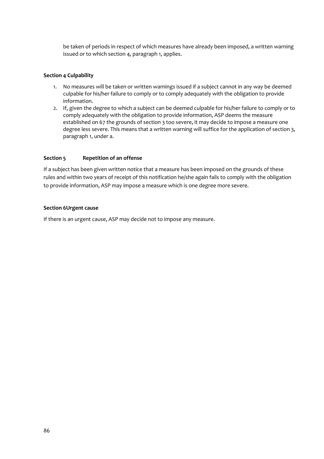be taken of periods in respect of which measures have already been imposed, a written warning issued or to which section 4, paragraph 1, applies.

#### **Section 4 Culpability**

- 1. No measures will be taken or written warnings issued if a subject cannot in any way be deemed culpable for his/her failure to comply or to comply adequately with the obligation to provide information.
- 2. If, given the degree to which a subject can be deemed culpable for his/her failure to comply or to comply adequately with the obligation to provide information, ASP deems the measure established on 67 the grounds of section 3 too severe, it may decide to impose a measure one degree less severe. This means that a written warning will suffice for the application of section 3, paragraph 1, under a.

#### **Section 5 Repetition of an offense**

If a subject has been given written notice that a measure has been imposed on the grounds of these rules and within two years of receipt of this notification he/she again fails to comply with the obligation to provide information, ASP may impose a measure which is one degree more severe.

#### **Section 6Urgent cause**

If there is an urgent cause, ASP may decide not to impose any measure.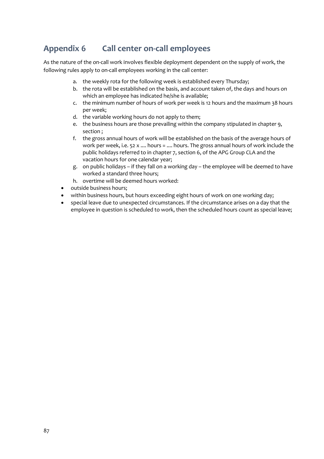## **Appendix 6 Call center on-call employees**

As the nature of the on-call work involves flexible deployment dependent on the supply of work, the following rules apply to on-call employees working in the call center:

- a. the weekly rota for the following week is established every Thursday;
- b. the rota will be established on the basis, and account taken of, the days and hours on which an employee has indicated he/she is available;
- c. the minimum number of hours of work per week is 12 hours and the maximum 38 hours per week;
- d. the variable working hours do not apply to them;
- e. the business hours are those prevailing within the company stipulated in chapter 9, section ;
- f. the gross annual hours of work will be established on the basis of the average hours of work per week, i.e. 52 x .... hours = .... hours. The gross annual hours of work include the public holidays referred to in chapter 7, section 6, of the APG Group CLA and the vacation hours for one calendar year;
- g. on public holidays if they fall on a working day the employee will be deemed to have worked a standard three hours;
- h. overtime will be deemed hours worked:
- outside business hours;
- within business hours, but hours exceeding eight hours of work on one working day;
- special leave due to unexpected circumstances. If the circumstance arises on a day that the employee in question is scheduled to work, then the scheduled hours count as special leave;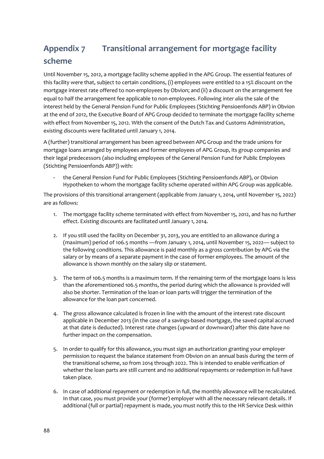# **Appendix 7 Transitional arrangement for mortgage facility scheme**

Until November 15, 2012, a mortgage facility scheme applied in the APG Group. The essential features of this facility were that, subject to certain conditions, (i) employees were entitled to a 15% discount on the mortgage interest rate offered to non-employees by Obvion; and (ii) a discount on the arrangement fee equal to half the arrangement fee applicable to non-employees. Following *inter alia* the sale of the interest held by the General Pension Fund for Public Employees (Stichting Pensioenfonds ABP) in Obvion at the end of 2012, the Executive Board of APG Group decided to terminate the mortgage facility scheme with effect from November 15, 2012. With the consent of the Dutch Tax and Customs Administration, existing discounts were facilitated until January 1, 2014.

A (further) transitional arrangement has been agreed between APG Group and the trade unions for mortgage loans arranged by employees and former employees of APG Group, its group companies and their legal predecessors (also including employees of the General Pension Fund for Public Employees (Stichting Pensioenfonds ABP)) with:

the General Pension Fund for Public Employees (Stichting Pensioenfonds ABP), or Obvion Hypotheken to whom the mortgage facility scheme operated within APG Group was applicable.

The provisions of this transitional arrangement (applicable from January 1, 2014, until November 15, 2022) are as follows:

- 1. The mortgage facility scheme terminated with effect from November 15, 2012, and has no further effect. Existing discounts are facilitated until January 1, 2014.
- 2. If you still used the facility on December 31, 2013, you are entitled to an allowance during a (maximum) period of 106.5 months —from January 1, 2014, until November 15, 2022— subject to the following conditions. This allowance is paid monthly as a gross contribution by APG via the salary or by means of a separate payment in the case of former employees. The amount of the allowance is shown monthly on the salary slip or statement.
- 3. The term of 106.5 months is a maximum term. If the remaining term of the mortgage loans is less than the aforementioned 106.5 months, the period during which the allowance is provided will also be shorter. Termination of the loan or loan parts will trigger the termination of the allowance for the loan part concerned.
- 4. The gross allowance calculated is frozen in line with the amount of the interest rate discount applicable in December 2013 (in the case of a savings-based mortgage, the saved capital accrued at that date is deducted). Interest rate changes (upward or downward) after this date have no further impact on the compensation.
- 5. In order to qualify for this allowance, you must sign an authorization granting your employer permission to request the balance statement from Obvion on an annual basis during the term of the transitional scheme, so from 2014 through 2022. This is intended to enable verification of whether the loan parts are still current and no additional repayments or redemption in full have taken place.
- 6. In case of additional repayment or redemption in full, the monthly allowance will be recalculated. In that case, you must provide your (former) employer with all the necessary relevant details. If additional (full or partial) repayment is made, you must notify this to the HR Service Desk within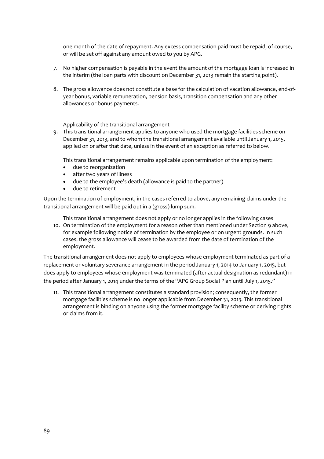one month of the date of repayment. Any excess compensation paid must be repaid, of course, or will be set off against any amount owed to you by APG.

- 7. No higher compensation is payable in the event the amount of the mortgage loan is increased in the interim (the loan parts with discount on December 31, 2013 remain the starting point).
- 8. The gross allowance does not constitute a base for the calculation of vacation allowance, end-ofyear bonus, variable remuneration, pension basis, transition compensation and any other allowances or bonus payments.

Applicability of the transitional arrangement

9. This transitional arrangement applies to anyone who used the mortgage facilities scheme on December 31, 2013, and to whom the transitional arrangement available until January 1, 2015, applied on or after that date, unless in the event of an exception as referred to below.

This transitional arrangement remains applicable upon termination of the employment:

- due to reorganization
- after two years of illness
- due to the employee's death (allowance is paid to the partner)
- due to retirement

Upon the termination of employment, in the cases referred to above, any remaining claims under the transitional arrangement will be paid out in a (gross) lump sum.

This transitional arrangement does not apply or no longer applies in the following cases

10. On termination of the employment for a reason other than mentioned under Section 9 above, for example following notice of termination by the employee or on urgent grounds. In such cases, the gross allowance will cease to be awarded from the date of termination of the employment.

The transitional arrangement does not apply to employees whose employment terminated as part of a replacement or voluntary severance arrangement in the period January 1, 2014 to January 1, 2015, but does apply to employees whose employment was terminated (after actual designation as redundant) in the period after January 1, 2014 under the terms of the "APG Group Social Plan until July 1, 2015."

11. This transitional arrangement constitutes a standard provision; consequently, the former mortgage facilities scheme is no longer applicable from December 31, 2013. This transitional arrangement is binding on anyone using the former mortgage facility scheme or deriving rights or claims from it.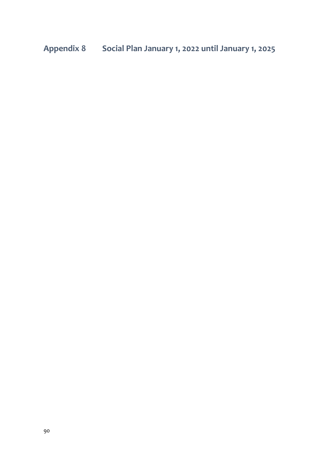**Appendix 8 Social Plan January 1, 2022 until January 1, 2025**